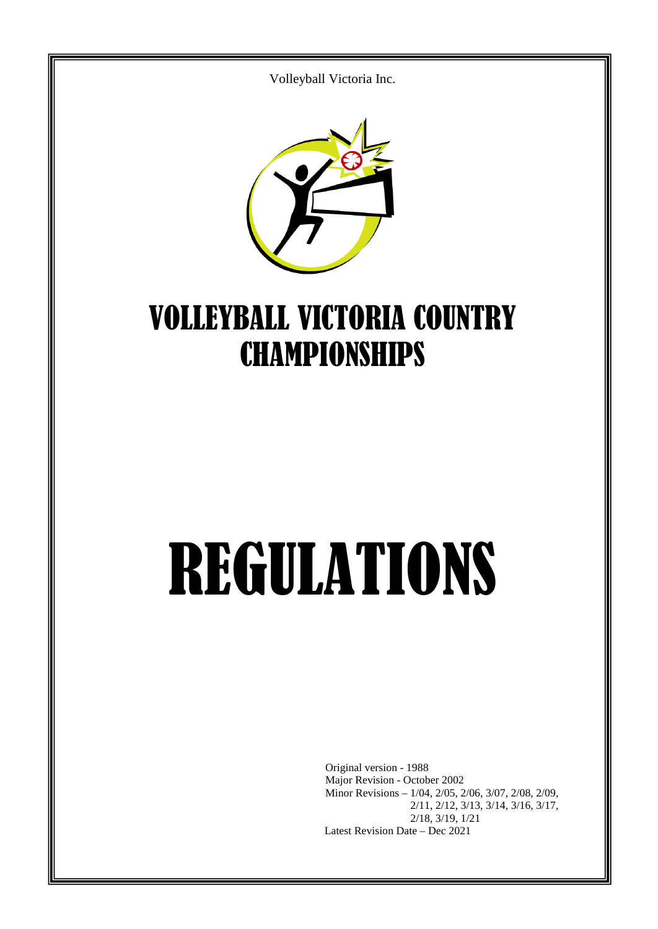

Minor Revisions – 1/04, 2/05, 2/06, 3/07, 2/08, 2/09, 2/11, 2/12, 3/13, 3/14, 3/16, 3/17, 2/18, 3/19, 1/21 Latest Revision Date – Dec 2021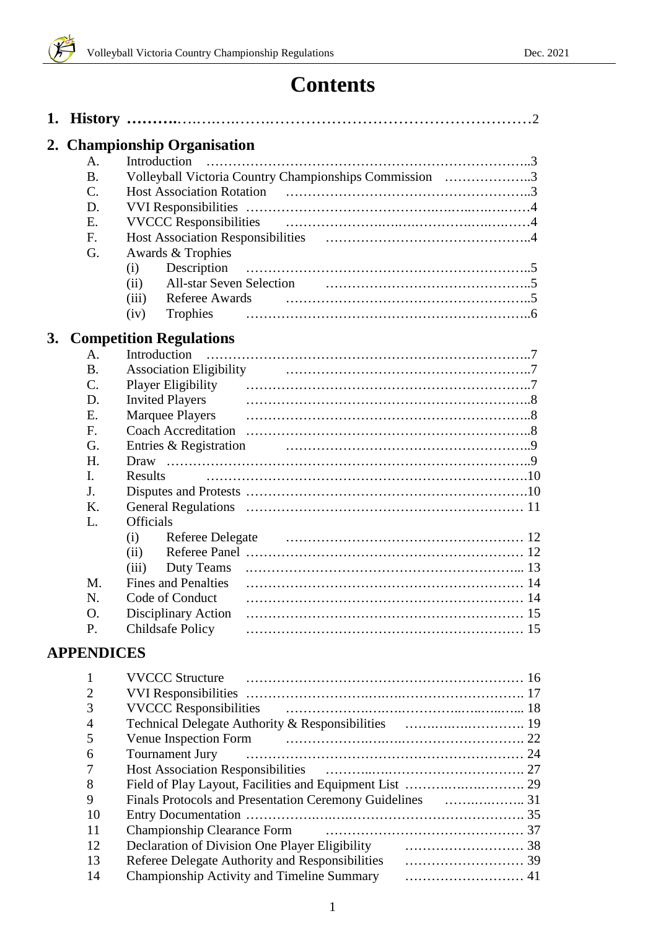# **Contents**

|           |                   | 2. Championship Organisation                           |
|-----------|-------------------|--------------------------------------------------------|
|           | A.                |                                                        |
|           | <b>B.</b>         | Volleyball Victoria Country Championships Commission 3 |
|           | $C_{\cdot}$       |                                                        |
|           | D.                |                                                        |
|           | Ε.                |                                                        |
|           | $F_{\cdot}$       |                                                        |
|           | G.                | Awards & Trophies                                      |
|           |                   | Description<br>(i)                                     |
|           |                   | (ii)                                                   |
|           |                   | (iii)                                                  |
|           |                   | (iv)                                                   |
| <b>3.</b> |                   | <b>Competition Regulations</b>                         |
|           |                   |                                                        |
|           | A.<br><b>B.</b>   |                                                        |
|           | $C$ .             |                                                        |
|           | D.                | <b>Invited Players</b>                                 |
|           | E.                |                                                        |
|           | F.                |                                                        |
|           | G.                |                                                        |
|           | H.                | Draw                                                   |
|           | L.                | Results                                                |
|           | J.                |                                                        |
|           | K.                |                                                        |
|           | L.                | <b>Officials</b>                                       |
|           |                   | (i)                                                    |
|           |                   | (ii)                                                   |
|           |                   | Duty Teams<br>(iii)                                    |
|           | M.                | <b>Fines and Penalties</b>                             |
|           | N.                | Code of Conduct                                        |
|           | <b>O.</b>         | Disciplinary Action                                    |
|           | P.                | <b>Childsafe Policy</b>                                |
|           | <b>APPENDICES</b> |                                                        |
|           | 1                 | <b>VVCCC Structure</b>                                 |
|           | $\overline{2}$    |                                                        |

| $\mathcal{D}_{\mathcal{L}}$ |                                                         |  |
|-----------------------------|---------------------------------------------------------|--|
| 3                           |                                                         |  |
| $\overline{4}$              |                                                         |  |
| 5                           |                                                         |  |
| 6                           |                                                         |  |
|                             |                                                         |  |
| 8                           | Field of Play Layout, Facilities and Equipment List  29 |  |
| 9                           |                                                         |  |
| 10                          |                                                         |  |
| 11                          |                                                         |  |
| 12                          | Declaration of Division One Player Eligibility          |  |
| -13                         | Referee Delegate Authority and Responsibilities         |  |
| 14                          | Championship Activity and Timeline Summary              |  |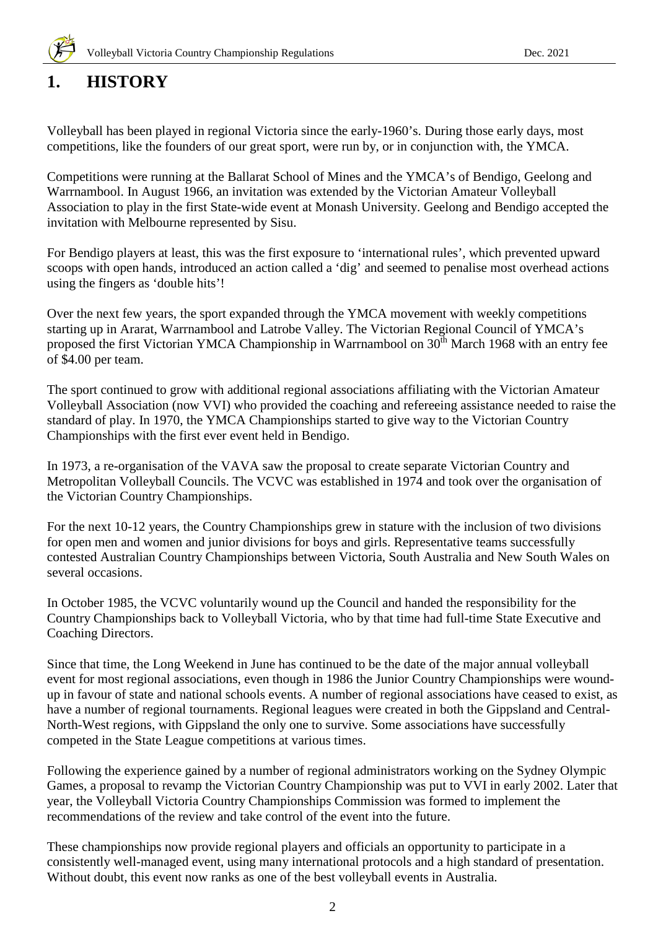

# **1. HISTORY**

Volleyball has been played in regional Victoria since the early-1960's. During those early days, most competitions, like the founders of our great sport, were run by, or in conjunction with, the YMCA.

Competitions were running at the Ballarat School of Mines and the YMCA's of Bendigo, Geelong and Warrnambool. In August 1966, an invitation was extended by the Victorian Amateur Volleyball Association to play in the first State-wide event at Monash University. Geelong and Bendigo accepted the invitation with Melbourne represented by Sisu.

For Bendigo players at least, this was the first exposure to 'international rules', which prevented upward scoops with open hands, introduced an action called a 'dig' and seemed to penalise most overhead actions using the fingers as 'double hits'!

Over the next few years, the sport expanded through the YMCA movement with weekly competitions starting up in Ararat, Warrnambool and Latrobe Valley. The Victorian Regional Council of YMCA's proposed the first Victorian YMCA Championship in Warrnambool on 30<sup>th</sup> March 1968 with an entry fee of \$4.00 per team.

The sport continued to grow with additional regional associations affiliating with the Victorian Amateur Volleyball Association (now VVI) who provided the coaching and refereeing assistance needed to raise the standard of play. In 1970, the YMCA Championships started to give way to the Victorian Country Championships with the first ever event held in Bendigo.

In 1973, a re-organisation of the VAVA saw the proposal to create separate Victorian Country and Metropolitan Volleyball Councils. The VCVC was established in 1974 and took over the organisation of the Victorian Country Championships.

For the next 10-12 years, the Country Championships grew in stature with the inclusion of two divisions for open men and women and junior divisions for boys and girls. Representative teams successfully contested Australian Country Championships between Victoria, South Australia and New South Wales on several occasions.

In October 1985, the VCVC voluntarily wound up the Council and handed the responsibility for the Country Championships back to Volleyball Victoria, who by that time had full-time State Executive and Coaching Directors.

Since that time, the Long Weekend in June has continued to be the date of the major annual volleyball event for most regional associations, even though in 1986 the Junior Country Championships were woundup in favour of state and national schools events. A number of regional associations have ceased to exist, as have a number of regional tournaments. Regional leagues were created in both the Gippsland and Central-North-West regions, with Gippsland the only one to survive. Some associations have successfully competed in the State League competitions at various times.

Following the experience gained by a number of regional administrators working on the Sydney Olympic Games, a proposal to revamp the Victorian Country Championship was put to VVI in early 2002. Later that year, the Volleyball Victoria Country Championships Commission was formed to implement the recommendations of the review and take control of the event into the future.

These championships now provide regional players and officials an opportunity to participate in a consistently well-managed event, using many international protocols and a high standard of presentation. Without doubt, this event now ranks as one of the best volleyball events in Australia.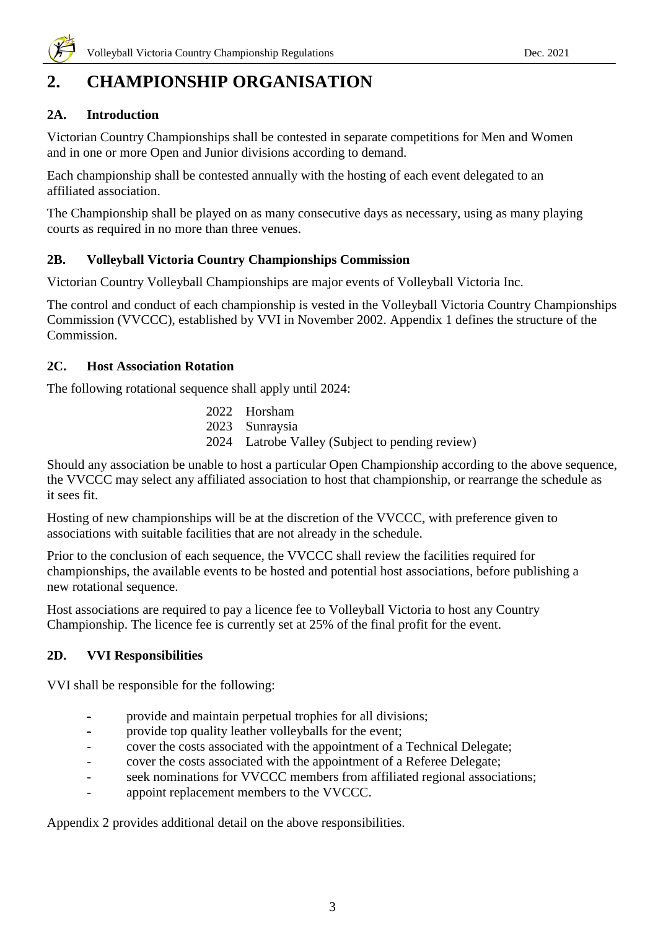

# **2. CHAMPIONSHIP ORGANISATION**

# **2A. Introduction**

Victorian Country Championships shall be contested in separate competitions for Men and Women and in one or more Open and Junior divisions according to demand.

Each championship shall be contested annually with the hosting of each event delegated to an affiliated association.

The Championship shall be played on as many consecutive days as necessary, using as many playing courts as required in no more than three venues.

# **2B. Volleyball Victoria Country Championships Commission**

Victorian Country Volleyball Championships are major events of Volleyball Victoria Inc.

The control and conduct of each championship is vested in the Volleyball Victoria Country Championships Commission (VVCCC), established by VVI in November 2002. Appendix 1 defines the structure of the Commission.

# **2C. Host Association Rotation**

The following rotational sequence shall apply until 2024:

| 2022 Horsham                                    |
|-------------------------------------------------|
| 2023 Sunraysia                                  |
| 2024 Latrobe Valley (Subject to pending review) |

Should any association be unable to host a particular Open Championship according to the above sequence, the VVCCC may select any affiliated association to host that championship, or rearrange the schedule as it sees fit.

Hosting of new championships will be at the discretion of the VVCCC, with preference given to associations with suitable facilities that are not already in the schedule.

Prior to the conclusion of each sequence, the VVCCC shall review the facilities required for championships, the available events to be hosted and potential host associations, before publishing a new rotational sequence.

Host associations are required to pay a licence fee to Volleyball Victoria to host any Country Championship. The licence fee is currently set at 25% of the final profit for the event.

# **2D. VVI Responsibilities**

VVI shall be responsible for the following:

- provide and maintain perpetual trophies for all divisions;
- provide top quality leather volleyballs for the event;
- cover the costs associated with the appointment of a Technical Delegate;
- cover the costs associated with the appointment of a Referee Delegate;
- seek nominations for VVCCC members from affiliated regional associations;
- appoint replacement members to the VVCCC.

Appendix 2 provides additional detail on the above responsibilities.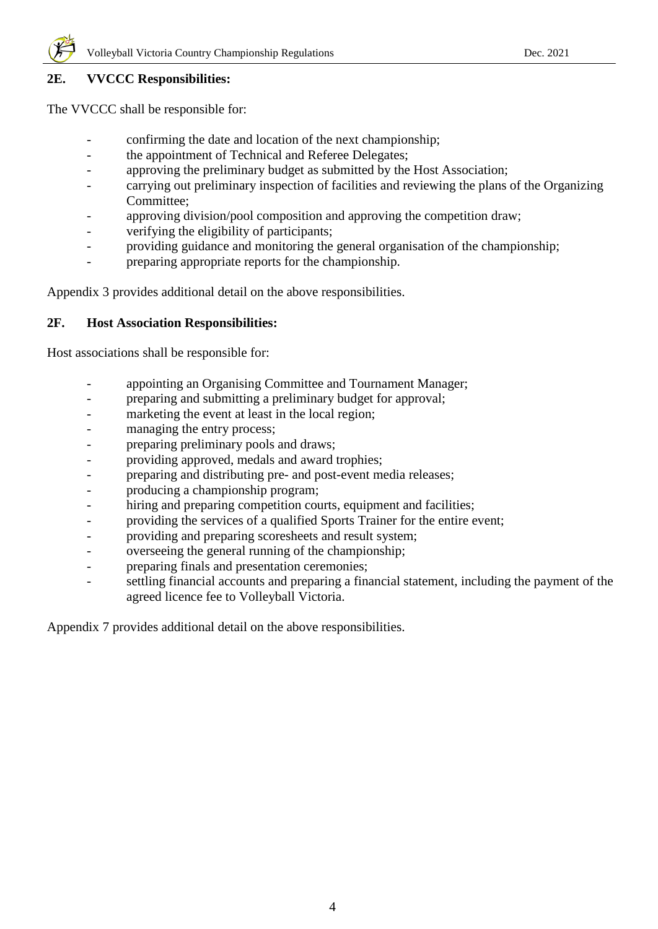

## **2E. VVCCC Responsibilities:**

The VVCCC shall be responsible for:

- confirming the date and location of the next championship;
- the appointment of Technical and Referee Delegates;
- approving the preliminary budget as submitted by the Host Association;
- carrying out preliminary inspection of facilities and reviewing the plans of the Organizing Committee;
- approving division/pool composition and approving the competition draw;
- verifying the eligibility of participants;
- providing guidance and monitoring the general organisation of the championship;
- preparing appropriate reports for the championship.

Appendix 3 provides additional detail on the above responsibilities.

# **2F. Host Association Responsibilities:**

Host associations shall be responsible for:

- appointing an Organising Committee and Tournament Manager;
- preparing and submitting a preliminary budget for approval;
- marketing the event at least in the local region;
- managing the entry process;
- preparing preliminary pools and draws;
- providing approved, medals and award trophies;
- preparing and distributing pre- and post-event media releases;
- producing a championship program;
- hiring and preparing competition courts, equipment and facilities;
- providing the services of a qualified Sports Trainer for the entire event;
- providing and preparing scoresheets and result system;
- overseeing the general running of the championship;
- preparing finals and presentation ceremonies;
- settling financial accounts and preparing a financial statement, including the payment of the agreed licence fee to Volleyball Victoria.

Appendix 7 provides additional detail on the above responsibilities.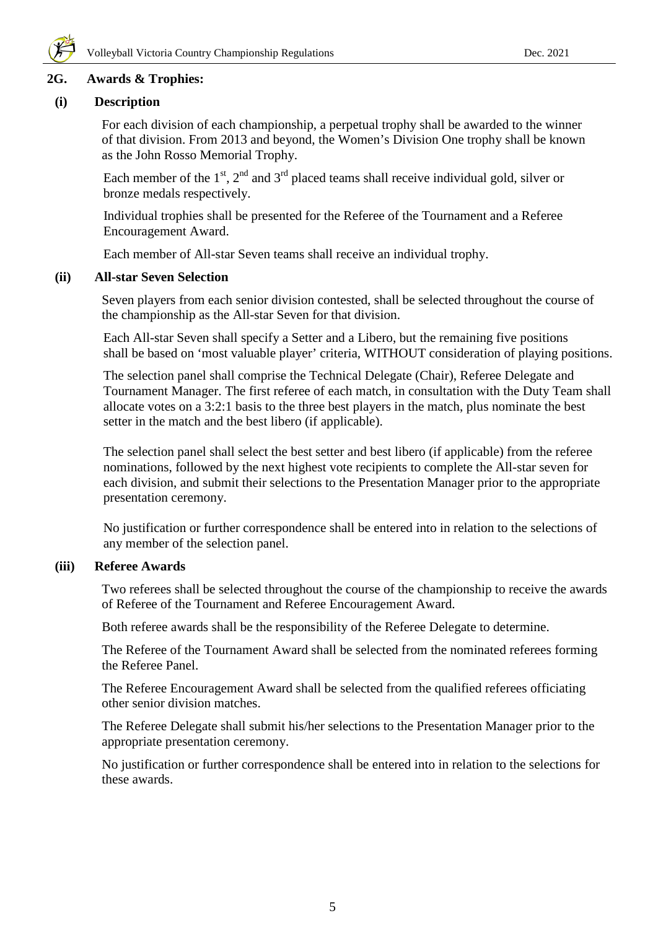

## **2G. Awards & Trophies:**

# **(i) Description**

For each division of each championship, a perpetual trophy shall be awarded to the winner of that division. From 2013 and beyond, the Women's Division One trophy shall be known as the John Rosso Memorial Trophy.

Each member of the  $1<sup>st</sup>$ ,  $2<sup>nd</sup>$  and  $3<sup>rd</sup>$  placed teams shall receive individual gold, silver or bronze medals respectively.

 Individual trophies shall be presented for the Referee of the Tournament and a Referee Encouragement Award.

Each member of All-star Seven teams shall receive an individual trophy.

### **(ii) All-star Seven Selection**

Seven players from each senior division contested, shall be selected throughout the course of the championship as the All-star Seven for that division.

 Each All-star Seven shall specify a Setter and a Libero, but the remaining five positions shall be based on 'most valuable player' criteria, WITHOUT consideration of playing positions.

 The selection panel shall comprise the Technical Delegate (Chair), Referee Delegate and Tournament Manager. The first referee of each match, in consultation with the Duty Team shall allocate votes on a 3:2:1 basis to the three best players in the match, plus nominate the best setter in the match and the best libero (if applicable).

 The selection panel shall select the best setter and best libero (if applicable) from the referee nominations, followed by the next highest vote recipients to complete the All-star seven for each division, and submit their selections to the Presentation Manager prior to the appropriate presentation ceremony.

 No justification or further correspondence shall be entered into in relation to the selections of any member of the selection panel.

### **(iii) Referee Awards**

Two referees shall be selected throughout the course of the championship to receive the awards of Referee of the Tournament and Referee Encouragement Award.

Both referee awards shall be the responsibility of the Referee Delegate to determine.

The Referee of the Tournament Award shall be selected from the nominated referees forming the Referee Panel.

The Referee Encouragement Award shall be selected from the qualified referees officiating other senior division matches.

The Referee Delegate shall submit his/her selections to the Presentation Manager prior to the appropriate presentation ceremony.

No justification or further correspondence shall be entered into in relation to the selections for these awards.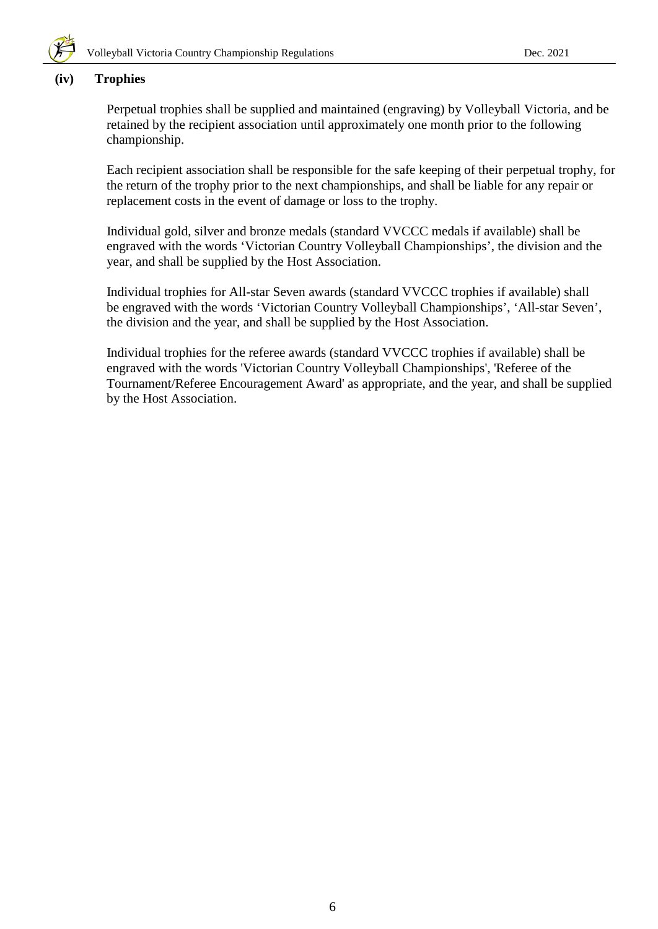

#### **(iv) Trophies**

Perpetual trophies shall be supplied and maintained (engraving) by Volleyball Victoria, and be retained by the recipient association until approximately one month prior to the following championship.

Each recipient association shall be responsible for the safe keeping of their perpetual trophy, for the return of the trophy prior to the next championships, and shall be liable for any repair or replacement costs in the event of damage or loss to the trophy.

 Individual gold, silver and bronze medals (standard VVCCC medals if available) shall be engraved with the words 'Victorian Country Volleyball Championships', the division and the year, and shall be supplied by the Host Association.

 Individual trophies for All-star Seven awards (standard VVCCC trophies if available) shall be engraved with the words 'Victorian Country Volleyball Championships', 'All-star Seven', the division and the year, and shall be supplied by the Host Association.

 Individual trophies for the referee awards (standard VVCCC trophies if available) shall be engraved with the words 'Victorian Country Volleyball Championships', 'Referee of the Tournament/Referee Encouragement Award' as appropriate, and the year, and shall be supplied by the Host Association.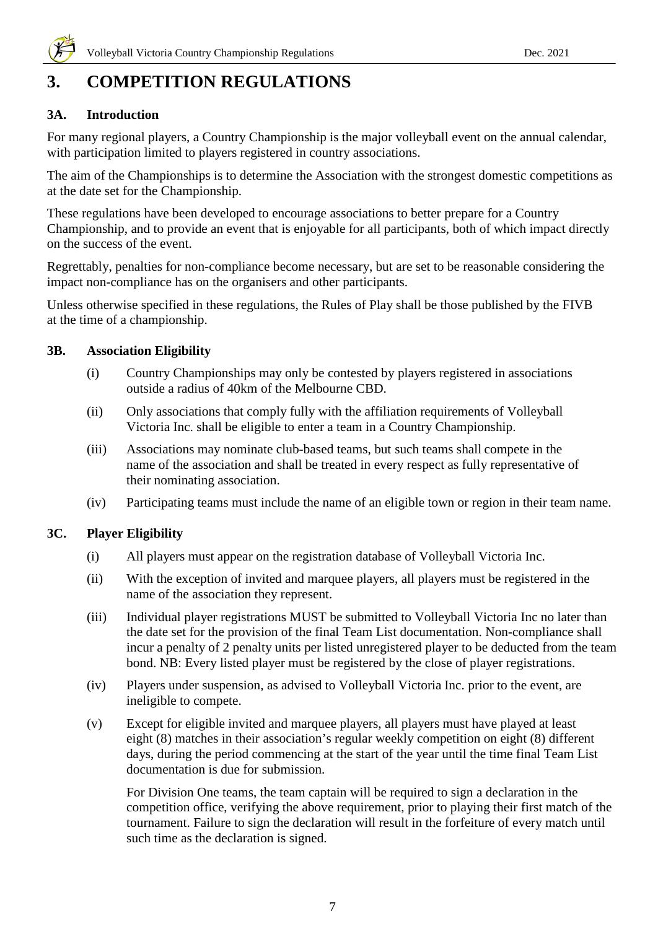

# **3. COMPETITION REGULATIONS**

# **3A. Introduction**

For many regional players, a Country Championship is the major volleyball event on the annual calendar, with participation limited to players registered in country associations.

The aim of the Championships is to determine the Association with the strongest domestic competitions as at the date set for the Championship.

These regulations have been developed to encourage associations to better prepare for a Country Championship, and to provide an event that is enjoyable for all participants, both of which impact directly on the success of the event.

Regrettably, penalties for non-compliance become necessary, but are set to be reasonable considering the impact non-compliance has on the organisers and other participants.

Unless otherwise specified in these regulations, the Rules of Play shall be those published by the FIVB at the time of a championship.

# **3B. Association Eligibility**

- (i) Country Championships may only be contested by players registered in associations outside a radius of 40km of the Melbourne CBD.
- (ii) Only associations that comply fully with the affiliation requirements of Volleyball Victoria Inc. shall be eligible to enter a team in a Country Championship.
- (iii) Associations may nominate club-based teams, but such teams shall compete in the name of the association and shall be treated in every respect as fully representative of their nominating association.
- (iv) Participating teams must include the name of an eligible town or region in their team name.

# **3C. Player Eligibility**

- (i) All players must appear on the registration database of Volleyball Victoria Inc.
- (ii) With the exception of invited and marquee players, all players must be registered in the name of the association they represent.
- (iii) Individual player registrations MUST be submitted to Volleyball Victoria Inc no later than the date set for the provision of the final Team List documentation. Non-compliance shall incur a penalty of 2 penalty units per listed unregistered player to be deducted from the team bond. NB: Every listed player must be registered by the close of player registrations.
- (iv) Players under suspension, as advised to Volleyball Victoria Inc. prior to the event, are ineligible to compete.
- (v) Except for eligible invited and marquee players, all players must have played at least eight (8) matches in their association's regular weekly competition on eight (8) different days, during the period commencing at the start of the year until the time final Team List documentation is due for submission.

For Division One teams, the team captain will be required to sign a declaration in the competition office, verifying the above requirement, prior to playing their first match of the tournament. Failure to sign the declaration will result in the forfeiture of every match until such time as the declaration is signed.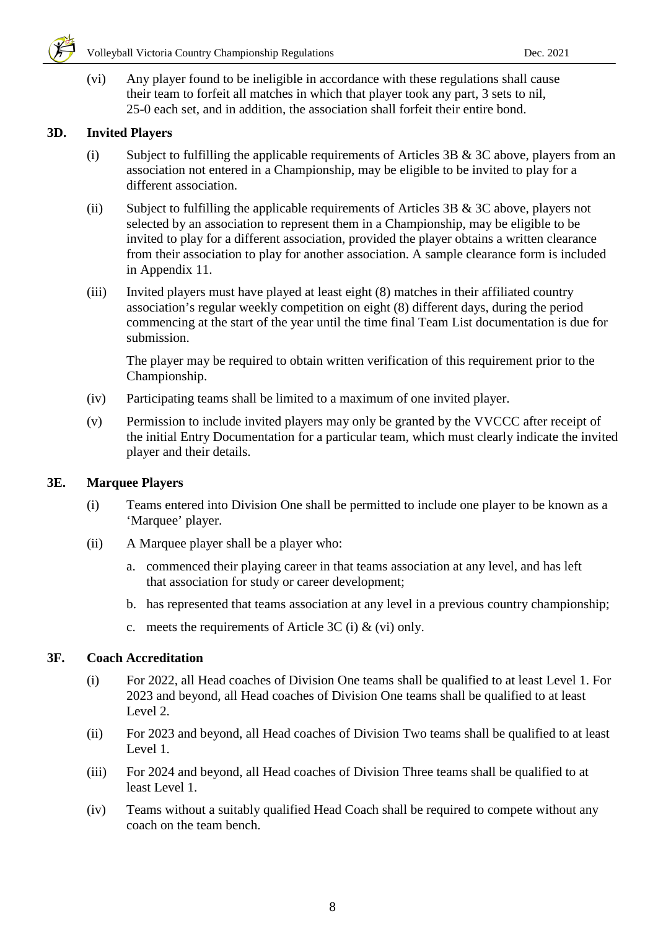

(vi) Any player found to be ineligible in accordance with these regulations shall cause their team to forfeit all matches in which that player took any part, 3 sets to nil, 25-0 each set, and in addition, the association shall forfeit their entire bond.

### **3D. Invited Players**

- (i) Subject to fulfilling the applicable requirements of Articles 3B  $\&$  3C above, players from an association not entered in a Championship, may be eligible to be invited to play for a different association.
- (ii) Subject to fulfilling the applicable requirements of Articles 3B  $\&$  3C above, players not selected by an association to represent them in a Championship, may be eligible to be invited to play for a different association, provided the player obtains a written clearance from their association to play for another association. A sample clearance form is included in Appendix 11.
- (iii) Invited players must have played at least eight (8) matches in their affiliated country association's regular weekly competition on eight (8) different days, during the period commencing at the start of the year until the time final Team List documentation is due for submission.

The player may be required to obtain written verification of this requirement prior to the Championship.

- (iv) Participating teams shall be limited to a maximum of one invited player.
- (v) Permission to include invited players may only be granted by the VVCCC after receipt of the initial Entry Documentation for a particular team, which must clearly indicate the invited player and their details.

### **3E. Marquee Players**

- (i) Teams entered into Division One shall be permitted to include one player to be known as a 'Marquee' player.
- (ii) A Marquee player shall be a player who:
	- a. commenced their playing career in that teams association at any level, and has left that association for study or career development;
	- b. has represented that teams association at any level in a previous country championship;
	- c. meets the requirements of Article 3C (i)  $\&$  (vi) only.

### **3F. Coach Accreditation**

- (i) For 2022, all Head coaches of Division One teams shall be qualified to at least Level 1. For 2023 and beyond, all Head coaches of Division One teams shall be qualified to at least Level 2.
- (ii) For 2023 and beyond, all Head coaches of Division Two teams shall be qualified to at least Level 1.
- (iii) For 2024 and beyond, all Head coaches of Division Three teams shall be qualified to at least Level 1.
- (iv) Teams without a suitably qualified Head Coach shall be required to compete without any coach on the team bench.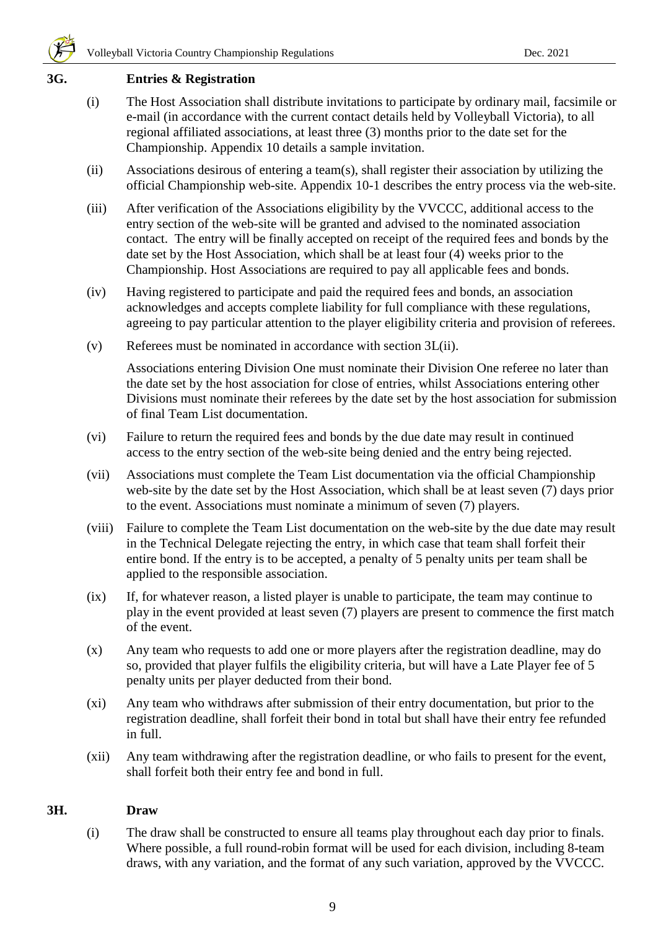# **3G. Entries & Registration**

- (i) The Host Association shall distribute invitations to participate by ordinary mail, facsimile or e-mail (in accordance with the current contact details held by Volleyball Victoria), to all regional affiliated associations, at least three (3) months prior to the date set for the Championship. Appendix 10 details a sample invitation.
- (ii) Associations desirous of entering a team(s), shall register their association by utilizing the official Championship web-site. Appendix 10-1 describes the entry process via the web-site.
- (iii) After verification of the Associations eligibility by the VVCCC, additional access to the entry section of the web-site will be granted and advised to the nominated association contact. The entry will be finally accepted on receipt of the required fees and bonds by the date set by the Host Association, which shall be at least four (4) weeks prior to the Championship. Host Associations are required to pay all applicable fees and bonds.
- (iv) Having registered to participate and paid the required fees and bonds, an association acknowledges and accepts complete liability for full compliance with these regulations, agreeing to pay particular attention to the player eligibility criteria and provision of referees.
- (v) Referees must be nominated in accordance with section 3L(ii).

Associations entering Division One must nominate their Division One referee no later than the date set by the host association for close of entries, whilst Associations entering other Divisions must nominate their referees by the date set by the host association for submission of final Team List documentation.

- (vi) Failure to return the required fees and bonds by the due date may result in continued access to the entry section of the web-site being denied and the entry being rejected.
- (vii) Associations must complete the Team List documentation via the official Championship web-site by the date set by the Host Association, which shall be at least seven (7) days prior to the event. Associations must nominate a minimum of seven (7) players.
- (viii) Failure to complete the Team List documentation on the web-site by the due date may result in the Technical Delegate rejecting the entry, in which case that team shall forfeit their entire bond. If the entry is to be accepted, a penalty of 5 penalty units per team shall be applied to the responsible association.
- (ix) If, for whatever reason, a listed player is unable to participate, the team may continue to play in the event provided at least seven (7) players are present to commence the first match of the event.
- (x) Any team who requests to add one or more players after the registration deadline, may do so, provided that player fulfils the eligibility criteria, but will have a Late Player fee of 5 penalty units per player deducted from their bond.
- (xi) Any team who withdraws after submission of their entry documentation, but prior to the registration deadline, shall forfeit their bond in total but shall have their entry fee refunded in full.
- (xii) Any team withdrawing after the registration deadline, or who fails to present for the event, shall forfeit both their entry fee and bond in full.

# **3H. Draw**

(i) The draw shall be constructed to ensure all teams play throughout each day prior to finals. Where possible, a full round-robin format will be used for each division, including 8-team draws, with any variation, and the format of any such variation, approved by the VVCCC.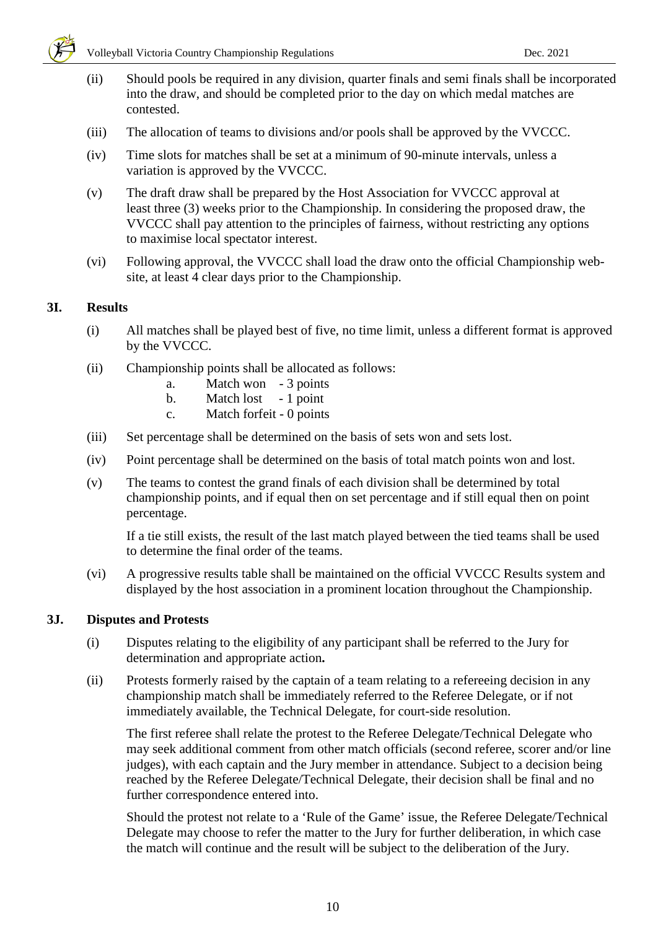

- (ii) Should pools be required in any division, quarter finals and semi finals shall be incorporated into the draw, and should be completed prior to the day on which medal matches are contested.
- (iii) The allocation of teams to divisions and/or pools shall be approved by the VVCCC.
- (iv) Time slots for matches shall be set at a minimum of 90-minute intervals, unless a variation is approved by the VVCCC.
- (v) The draft draw shall be prepared by the Host Association for VVCCC approval at least three (3) weeks prior to the Championship. In considering the proposed draw, the VVCCC shall pay attention to the principles of fairness, without restricting any options to maximise local spectator interest.
- (vi) Following approval, the VVCCC shall load the draw onto the official Championship website, at least 4 clear days prior to the Championship.

# **3I. Results**

- (i) All matches shall be played best of five, no time limit, unless a different format is approved by the VVCCC.
- (ii) Championship points shall be allocated as follows:
	- a. Match won 3 points
	- b. Match lost 1 point
	- c. Match forfeit 0 points
- (iii) Set percentage shall be determined on the basis of sets won and sets lost.
- (iv) Point percentage shall be determined on the basis of total match points won and lost.
- (v) The teams to contest the grand finals of each division shall be determined by total championship points, and if equal then on set percentage and if still equal then on point percentage.

If a tie still exists, the result of the last match played between the tied teams shall be used to determine the final order of the teams.

(vi) A progressive results table shall be maintained on the official VVCCC Results system and displayed by the host association in a prominent location throughout the Championship.

### **3J. Disputes and Protests**

- (i) Disputes relating to the eligibility of any participant shall be referred to the Jury for determination and appropriate action**.**
- (ii) Protests formerly raised by the captain of a team relating to a refereeing decision in any championship match shall be immediately referred to the Referee Delegate, or if not immediately available, the Technical Delegate, for court-side resolution.

The first referee shall relate the protest to the Referee Delegate/Technical Delegate who may seek additional comment from other match officials (second referee, scorer and/or line judges), with each captain and the Jury member in attendance. Subject to a decision being reached by the Referee Delegate/Technical Delegate, their decision shall be final and no further correspondence entered into.

Should the protest not relate to a 'Rule of the Game' issue, the Referee Delegate/Technical Delegate may choose to refer the matter to the Jury for further deliberation, in which case the match will continue and the result will be subject to the deliberation of the Jury.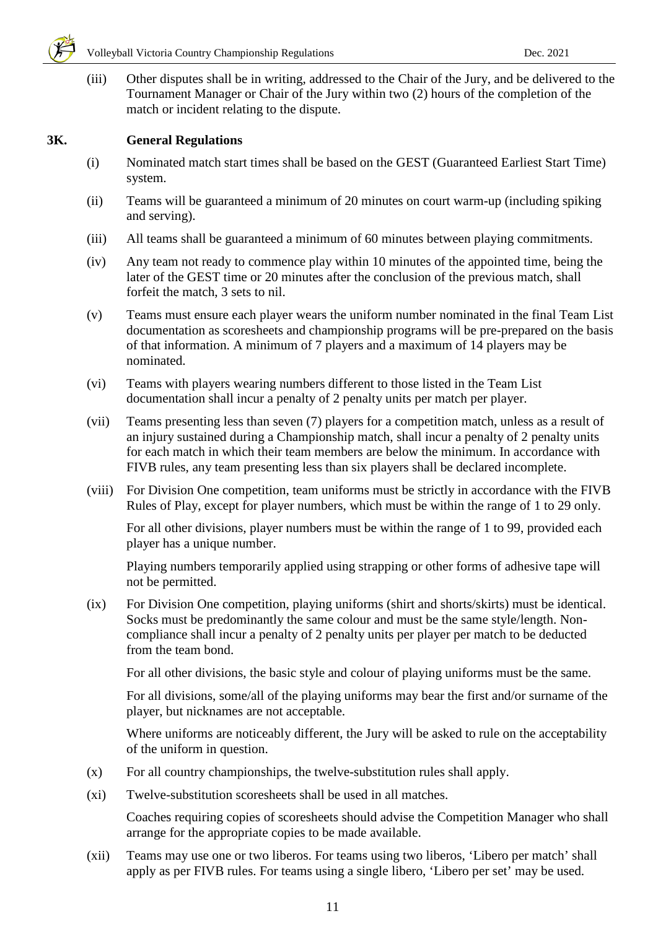

(iii) Other disputes shall be in writing, addressed to the Chair of the Jury, and be delivered to the Tournament Manager or Chair of the Jury within two (2) hours of the completion of the match or incident relating to the dispute.

## **3K. General Regulations**

- (i) Nominated match start times shall be based on the GEST (Guaranteed Earliest Start Time) system.
- (ii) Teams will be guaranteed a minimum of 20 minutes on court warm-up (including spiking and serving).
- (iii) All teams shall be guaranteed a minimum of 60 minutes between playing commitments.
- (iv) Any team not ready to commence play within 10 minutes of the appointed time, being the later of the GEST time or 20 minutes after the conclusion of the previous match, shall forfeit the match, 3 sets to nil.
- (v) Teams must ensure each player wears the uniform number nominated in the final Team List documentation as scoresheets and championship programs will be pre-prepared on the basis of that information. A minimum of 7 players and a maximum of 14 players may be nominated.
- (vi) Teams with players wearing numbers different to those listed in the Team List documentation shall incur a penalty of 2 penalty units per match per player.
- (vii) Teams presenting less than seven (7) players for a competition match, unless as a result of an injury sustained during a Championship match, shall incur a penalty of 2 penalty units for each match in which their team members are below the minimum. In accordance with FIVB rules, any team presenting less than six players shall be declared incomplete.
- (viii) For Division One competition, team uniforms must be strictly in accordance with the FIVB Rules of Play, except for player numbers, which must be within the range of 1 to 29 only.

For all other divisions, player numbers must be within the range of 1 to 99, provided each player has a unique number.

Playing numbers temporarily applied using strapping or other forms of adhesive tape will not be permitted.

(ix) For Division One competition, playing uniforms (shirt and shorts/skirts) must be identical. Socks must be predominantly the same colour and must be the same style/length. Noncompliance shall incur a penalty of 2 penalty units per player per match to be deducted from the team bond.

For all other divisions, the basic style and colour of playing uniforms must be the same.

For all divisions, some/all of the playing uniforms may bear the first and/or surname of the player, but nicknames are not acceptable.

Where uniforms are noticeably different, the Jury will be asked to rule on the acceptability of the uniform in question.

- (x) For all country championships, the twelve-substitution rules shall apply.
- (xi) Twelve-substitution scoresheets shall be used in all matches.

Coaches requiring copies of scoresheets should advise the Competition Manager who shall arrange for the appropriate copies to be made available.

(xii) Teams may use one or two liberos. For teams using two liberos, 'Libero per match' shall apply as per FIVB rules. For teams using a single libero, 'Libero per set' may be used.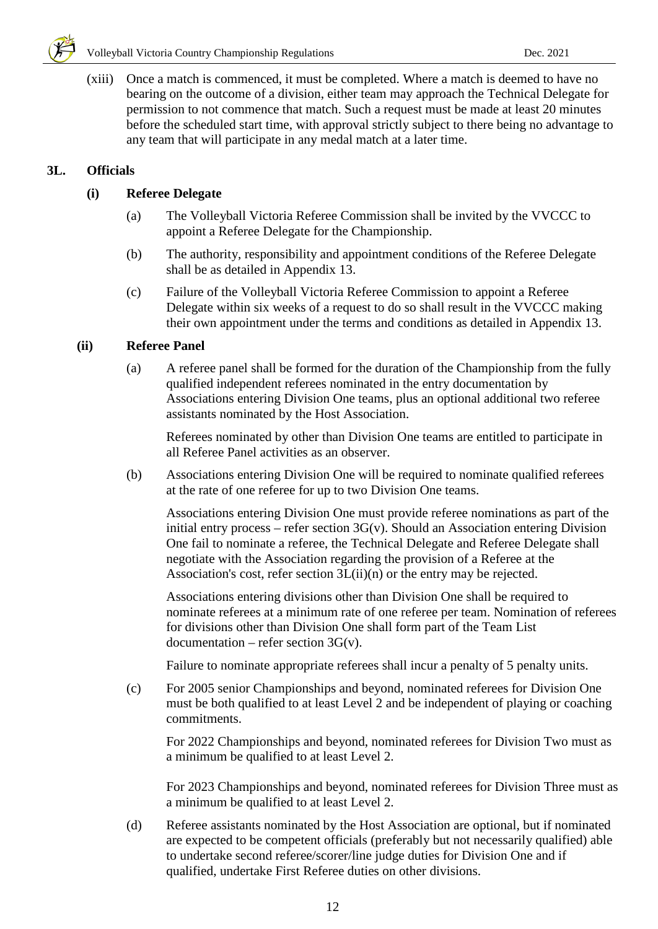

(xiii) Once a match is commenced, it must be completed. Where a match is deemed to have no bearing on the outcome of a division, either team may approach the Technical Delegate for permission to not commence that match. Such a request must be made at least 20 minutes before the scheduled start time, with approval strictly subject to there being no advantage to any team that will participate in any medal match at a later time.

# **3L. Officials**

# **(i) Referee Delegate**

- (a) The Volleyball Victoria Referee Commission shall be invited by the VVCCC to appoint a Referee Delegate for the Championship.
- (b) The authority, responsibility and appointment conditions of the Referee Delegate shall be as detailed in Appendix 13.
- (c) Failure of the Volleyball Victoria Referee Commission to appoint a Referee Delegate within six weeks of a request to do so shall result in the VVCCC making their own appointment under the terms and conditions as detailed in Appendix 13.

# **(ii) Referee Panel**

(a) A referee panel shall be formed for the duration of the Championship from the fully qualified independent referees nominated in the entry documentation by Associations entering Division One teams, plus an optional additional two referee assistants nominated by the Host Association.

Referees nominated by other than Division One teams are entitled to participate in all Referee Panel activities as an observer.

(b) Associations entering Division One will be required to nominate qualified referees at the rate of one referee for up to two Division One teams.

Associations entering Division One must provide referee nominations as part of the initial entry process – refer section  $3G(v)$ . Should an Association entering Division One fail to nominate a referee, the Technical Delegate and Referee Delegate shall negotiate with the Association regarding the provision of a Referee at the Association's cost, refer section 3L(ii)(n) or the entry may be rejected.

Associations entering divisions other than Division One shall be required to nominate referees at a minimum rate of one referee per team. Nomination of referees for divisions other than Division One shall form part of the Team List  $d$ ocumentation – refer section 3G(v).

Failure to nominate appropriate referees shall incur a penalty of 5 penalty units.

(c) For 2005 senior Championships and beyond, nominated referees for Division One must be both qualified to at least Level 2 and be independent of playing or coaching commitments.

For 2022 Championships and beyond, nominated referees for Division Two must as a minimum be qualified to at least Level 2.

For 2023 Championships and beyond, nominated referees for Division Three must as a minimum be qualified to at least Level 2.

(d) Referee assistants nominated by the Host Association are optional, but if nominated are expected to be competent officials (preferably but not necessarily qualified) able to undertake second referee/scorer/line judge duties for Division One and if qualified, undertake First Referee duties on other divisions.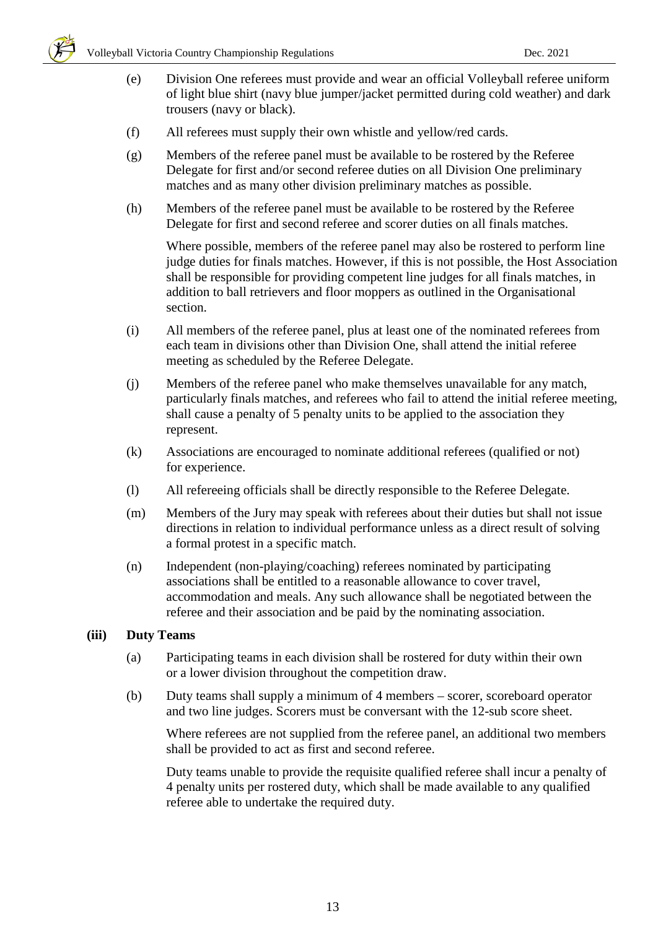

- (e) Division One referees must provide and wear an official Volleyball referee uniform of light blue shirt (navy blue jumper/jacket permitted during cold weather) and dark trousers (navy or black).
- (f) All referees must supply their own whistle and yellow/red cards.
- (g) Members of the referee panel must be available to be rostered by the Referee Delegate for first and/or second referee duties on all Division One preliminary matches and as many other division preliminary matches as possible.
- (h) Members of the referee panel must be available to be rostered by the Referee Delegate for first and second referee and scorer duties on all finals matches.

Where possible, members of the referee panel may also be rostered to perform line judge duties for finals matches. However, if this is not possible, the Host Association shall be responsible for providing competent line judges for all finals matches, in addition to ball retrievers and floor moppers as outlined in the Organisational section.

- (i) All members of the referee panel, plus at least one of the nominated referees from each team in divisions other than Division One, shall attend the initial referee meeting as scheduled by the Referee Delegate.
- (j) Members of the referee panel who make themselves unavailable for any match, particularly finals matches, and referees who fail to attend the initial referee meeting, shall cause a penalty of 5 penalty units to be applied to the association they represent.
- (k) Associations are encouraged to nominate additional referees (qualified or not) for experience.
- (l) All refereeing officials shall be directly responsible to the Referee Delegate.
- (m) Members of the Jury may speak with referees about their duties but shall not issue directions in relation to individual performance unless as a direct result of solving a formal protest in a specific match.
- (n) Independent (non-playing/coaching) referees nominated by participating associations shall be entitled to a reasonable allowance to cover travel, accommodation and meals. Any such allowance shall be negotiated between the referee and their association and be paid by the nominating association.

### **(iii) Duty Teams**

- (a) Participating teams in each division shall be rostered for duty within their own or a lower division throughout the competition draw.
- (b) Duty teams shall supply a minimum of 4 members scorer, scoreboard operator and two line judges. Scorers must be conversant with the 12-sub score sheet.

Where referees are not supplied from the referee panel, an additional two members shall be provided to act as first and second referee.

Duty teams unable to provide the requisite qualified referee shall incur a penalty of 4 penalty units per rostered duty, which shall be made available to any qualified referee able to undertake the required duty.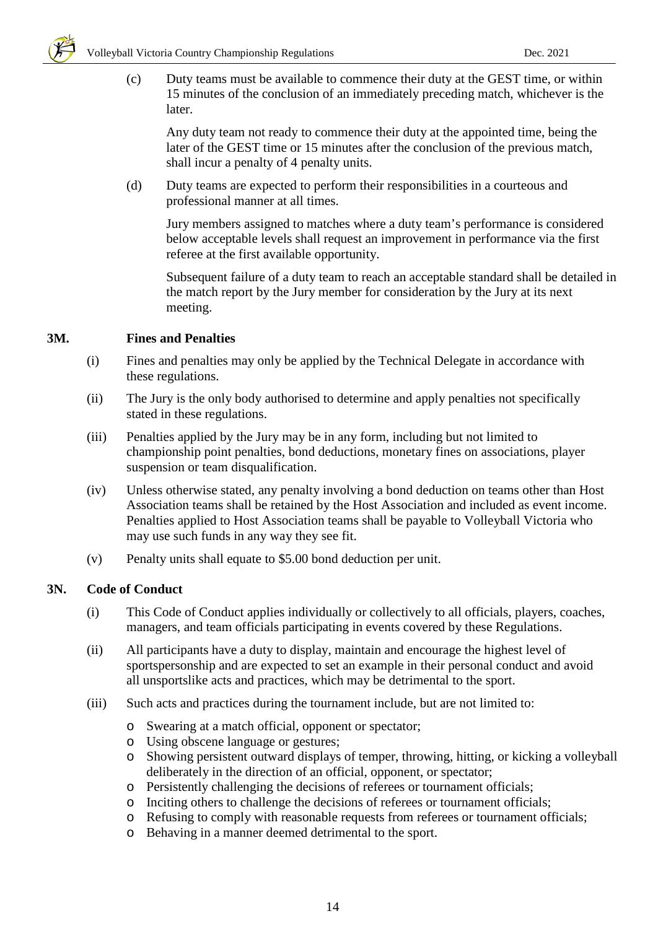(c) Duty teams must be available to commence their duty at the GEST time, or within 15 minutes of the conclusion of an immediately preceding match, whichever is the later.

Any duty team not ready to commence their duty at the appointed time, being the later of the GEST time or 15 minutes after the conclusion of the previous match, shall incur a penalty of 4 penalty units.

(d) Duty teams are expected to perform their responsibilities in a courteous and professional manner at all times.

Jury members assigned to matches where a duty team's performance is considered below acceptable levels shall request an improvement in performance via the first referee at the first available opportunity.

Subsequent failure of a duty team to reach an acceptable standard shall be detailed in the match report by the Jury member for consideration by the Jury at its next meeting.

# **3M. Fines and Penalties**

- (i) Fines and penalties may only be applied by the Technical Delegate in accordance with these regulations.
- (ii) The Jury is the only body authorised to determine and apply penalties not specifically stated in these regulations.
- (iii) Penalties applied by the Jury may be in any form, including but not limited to championship point penalties, bond deductions, monetary fines on associations, player suspension or team disqualification.
- (iv) Unless otherwise stated, any penalty involving a bond deduction on teams other than Host Association teams shall be retained by the Host Association and included as event income. Penalties applied to Host Association teams shall be payable to Volleyball Victoria who may use such funds in any way they see fit.
- (v) Penalty units shall equate to \$5.00 bond deduction per unit.

# **3N. Code of Conduct**

- (i) This Code of Conduct applies individually or collectively to all officials, players, coaches, managers, and team officials participating in events covered by these Regulations.
- (ii) All participants have a duty to display, maintain and encourage the highest level of sportspersonship and are expected to set an example in their personal conduct and avoid all unsportslike acts and practices, which may be detrimental to the sport.
- (iii) Such acts and practices during the tournament include, but are not limited to:
	- o Swearing at a match official, opponent or spectator;
	- o Using obscene language or gestures;
	- o Showing persistent outward displays of temper, throwing, hitting, or kicking a volleyball deliberately in the direction of an official, opponent, or spectator;
	- o Persistently challenging the decisions of referees or tournament officials;
	- o Inciting others to challenge the decisions of referees or tournament officials;
	- o Refusing to comply with reasonable requests from referees or tournament officials;
	- o Behaving in a manner deemed detrimental to the sport.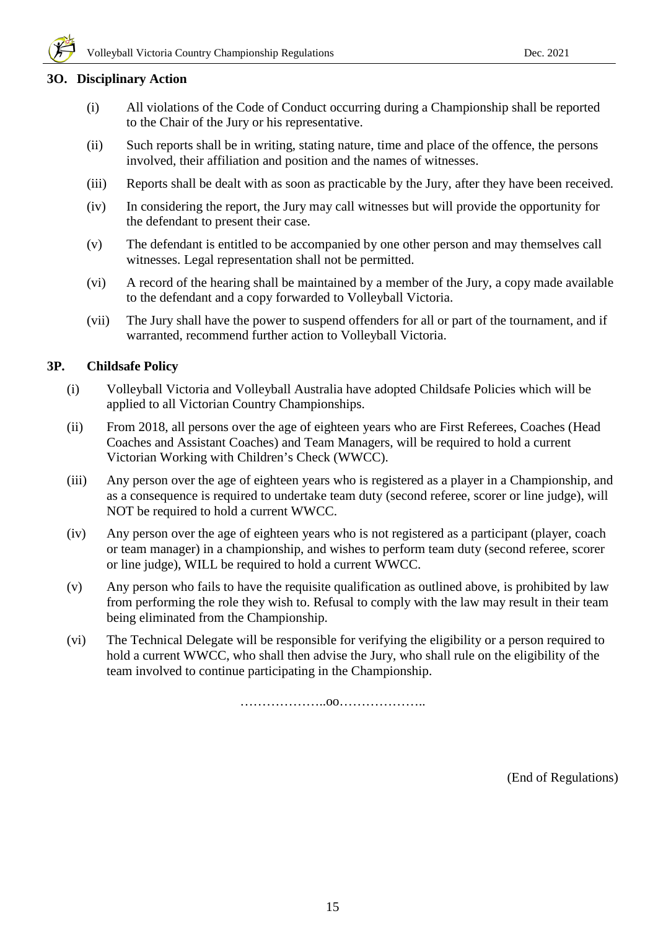

#### **3O. Disciplinary Action**

- (i) All violations of the Code of Conduct occurring during a Championship shall be reported to the Chair of the Jury or his representative.
- (ii) Such reports shall be in writing, stating nature, time and place of the offence, the persons involved, their affiliation and position and the names of witnesses.
- (iii) Reports shall be dealt with as soon as practicable by the Jury, after they have been received.
- (iv) In considering the report, the Jury may call witnesses but will provide the opportunity for the defendant to present their case.
- (v) The defendant is entitled to be accompanied by one other person and may themselves call witnesses. Legal representation shall not be permitted.
- (vi) A record of the hearing shall be maintained by a member of the Jury, a copy made available to the defendant and a copy forwarded to Volleyball Victoria.
- (vii) The Jury shall have the power to suspend offenders for all or part of the tournament, and if warranted, recommend further action to Volleyball Victoria.

### **3P. Childsafe Policy**

- (i) Volleyball Victoria and Volleyball Australia have adopted Childsafe Policies which will be applied to all Victorian Country Championships.
- (ii) From 2018, all persons over the age of eighteen years who are First Referees, Coaches (Head Coaches and Assistant Coaches) and Team Managers, will be required to hold a current Victorian Working with Children's Check (WWCC).
- (iii) Any person over the age of eighteen years who is registered as a player in a Championship, and as a consequence is required to undertake team duty (second referee, scorer or line judge), will NOT be required to hold a current WWCC.
- (iv) Any person over the age of eighteen years who is not registered as a participant (player, coach or team manager) in a championship, and wishes to perform team duty (second referee, scorer or line judge), WILL be required to hold a current WWCC.
- (v) Any person who fails to have the requisite qualification as outlined above, is prohibited by law from performing the role they wish to. Refusal to comply with the law may result in their team being eliminated from the Championship.
- (vi) The Technical Delegate will be responsible for verifying the eligibility or a person required to hold a current WWCC, who shall then advise the Jury, who shall rule on the eligibility of the team involved to continue participating in the Championship.

………………..oo………………..

(End of Regulations)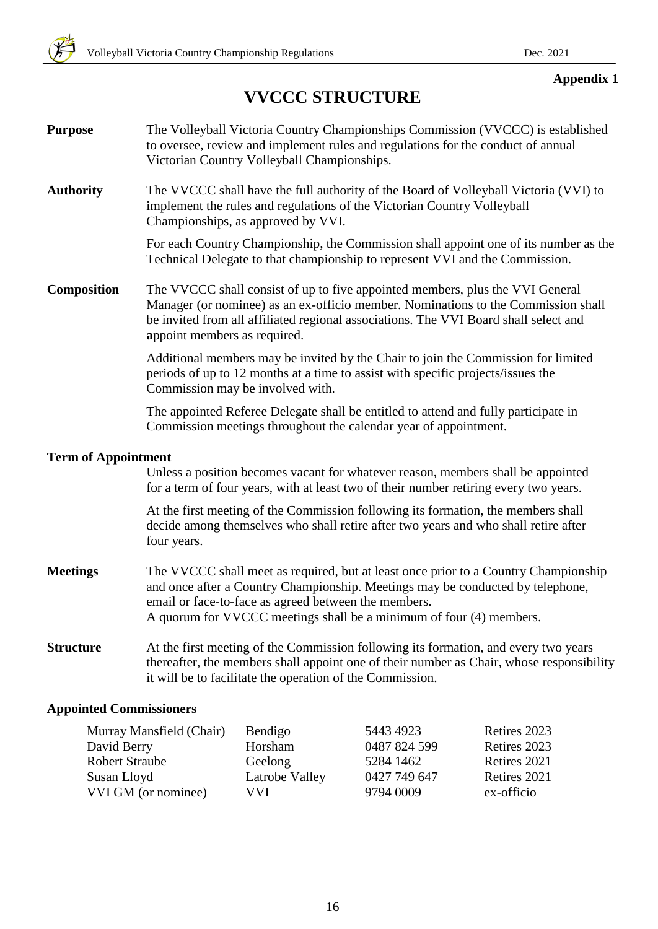# **VVCCC STRUCTURE**

| <b>Purpose</b>             | The Volleyball Victoria Country Championships Commission (VVCCC) is established<br>to oversee, review and implement rules and regulations for the conduct of annual<br>Victorian Country Volleyball Championships.                                                                                   |
|----------------------------|------------------------------------------------------------------------------------------------------------------------------------------------------------------------------------------------------------------------------------------------------------------------------------------------------|
| <b>Authority</b>           | The VVCCC shall have the full authority of the Board of Volleyball Victoria (VVI) to<br>implement the rules and regulations of the Victorian Country Volleyball<br>Championships, as approved by VVI.                                                                                                |
|                            | For each Country Championship, the Commission shall appoint one of its number as the<br>Technical Delegate to that championship to represent VVI and the Commission.                                                                                                                                 |
| <b>Composition</b>         | The VVCCC shall consist of up to five appointed members, plus the VVI General<br>Manager (or nominee) as an ex-officio member. Nominations to the Commission shall<br>be invited from all affiliated regional associations. The VVI Board shall select and<br>appoint members as required.           |
|                            | Additional members may be invited by the Chair to join the Commission for limited<br>periods of up to 12 months at a time to assist with specific projects/issues the<br>Commission may be involved with.                                                                                            |
|                            | The appointed Referee Delegate shall be entitled to attend and fully participate in<br>Commission meetings throughout the calendar year of appointment.                                                                                                                                              |
| <b>Term of Appointment</b> |                                                                                                                                                                                                                                                                                                      |
|                            | Unless a position becomes vacant for whatever reason, members shall be appointed<br>for a term of four years, with at least two of their number retiring every two years.                                                                                                                            |
|                            | At the first meeting of the Commission following its formation, the members shall<br>decide among themselves who shall retire after two years and who shall retire after<br>four years.                                                                                                              |
| <b>Meetings</b>            | The VVCCC shall meet as required, but at least once prior to a Country Championship<br>and once after a Country Championship. Meetings may be conducted by telephone,<br>email or face-to-face as agreed between the members.<br>A quorum for VVCCC meetings shall be a minimum of four (4) members. |
| <b>Structure</b>           | At the first meeting of the Commission following its formation, and every two years<br>thereafter, the members shall appoint one of their number as Chair, whose responsibility<br>it will be to facilitate the operation of the Commission.                                                         |

# **Appointed Commissioners**

| Murray Mansfield (Chair) | Bendigo        | 5443 4923    | Retires 2023 |
|--------------------------|----------------|--------------|--------------|
| David Berry              | Horsham        | 0487 824 599 | Retires 2023 |
| <b>Robert Straube</b>    | Geelong        | 5284 1462    | Retires 2021 |
| Susan Lloyd              | Latrobe Valley | 0427 749 647 | Retires 2021 |
| VVI GM (or nominee)      | VVI.           | 9794 0009    | ex-officio   |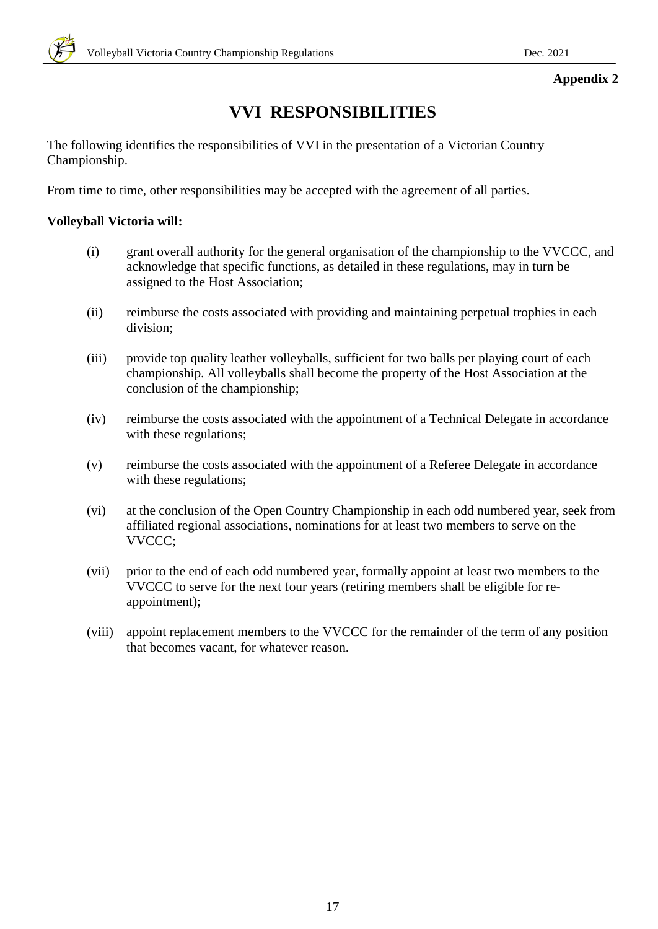# **VVI RESPONSIBILITIES**

The following identifies the responsibilities of VVI in the presentation of a Victorian Country Championship.

From time to time, other responsibilities may be accepted with the agreement of all parties.

# **Volleyball Victoria will:**

- (i) grant overall authority for the general organisation of the championship to the VVCCC, and acknowledge that specific functions, as detailed in these regulations, may in turn be assigned to the Host Association;
- (ii) reimburse the costs associated with providing and maintaining perpetual trophies in each division;
- (iii) provide top quality leather volleyballs, sufficient for two balls per playing court of each championship. All volleyballs shall become the property of the Host Association at the conclusion of the championship;
- (iv) reimburse the costs associated with the appointment of a Technical Delegate in accordance with these regulations;
- (v) reimburse the costs associated with the appointment of a Referee Delegate in accordance with these regulations;
- (vi) at the conclusion of the Open Country Championship in each odd numbered year, seek from affiliated regional associations, nominations for at least two members to serve on the VVCCC;
- (vii) prior to the end of each odd numbered year, formally appoint at least two members to the VVCCC to serve for the next four years (retiring members shall be eligible for reappointment);
- (viii) appoint replacement members to the VVCCC for the remainder of the term of any position that becomes vacant, for whatever reason.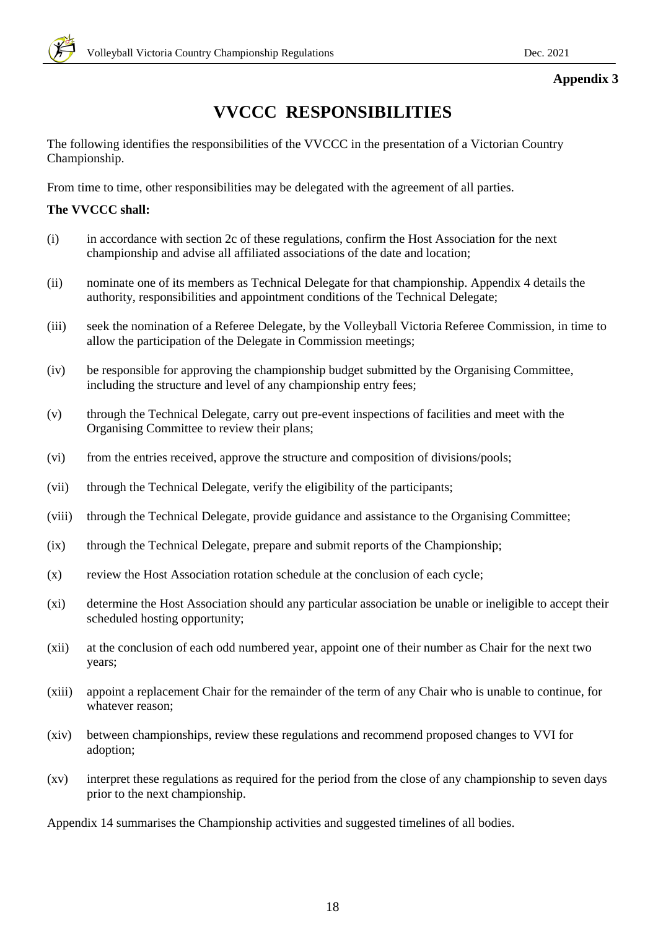# **VVCCC RESPONSIBILITIES**

The following identifies the responsibilities of the VVCCC in the presentation of a Victorian Country Championship.

From time to time, other responsibilities may be delegated with the agreement of all parties.

# **The VVCCC shall:**

- (i) in accordance with section 2c of these regulations, confirm the Host Association for the next championship and advise all affiliated associations of the date and location;
- (ii) nominate one of its members as Technical Delegate for that championship. Appendix 4 details the authority, responsibilities and appointment conditions of the Technical Delegate;
- (iii) seek the nomination of a Referee Delegate, by the Volleyball Victoria Referee Commission, in time to allow the participation of the Delegate in Commission meetings;
- (iv) be responsible for approving the championship budget submitted by the Organising Committee, including the structure and level of any championship entry fees;
- (v) through the Technical Delegate, carry out pre-event inspections of facilities and meet with the Organising Committee to review their plans;
- (vi) from the entries received, approve the structure and composition of divisions/pools;
- (vii) through the Technical Delegate, verify the eligibility of the participants;
- (viii) through the Technical Delegate, provide guidance and assistance to the Organising Committee;
- (ix) through the Technical Delegate, prepare and submit reports of the Championship;
- (x) review the Host Association rotation schedule at the conclusion of each cycle;
- (xi) determine the Host Association should any particular association be unable or ineligible to accept their scheduled hosting opportunity;
- (xii) at the conclusion of each odd numbered year, appoint one of their number as Chair for the next two years;
- (xiii) appoint a replacement Chair for the remainder of the term of any Chair who is unable to continue, for whatever reason;
- (xiv) between championships, review these regulations and recommend proposed changes to VVI for adoption;
- (xv) interpret these regulations as required for the period from the close of any championship to seven days prior to the next championship.

Appendix 14 summarises the Championship activities and suggested timelines of all bodies.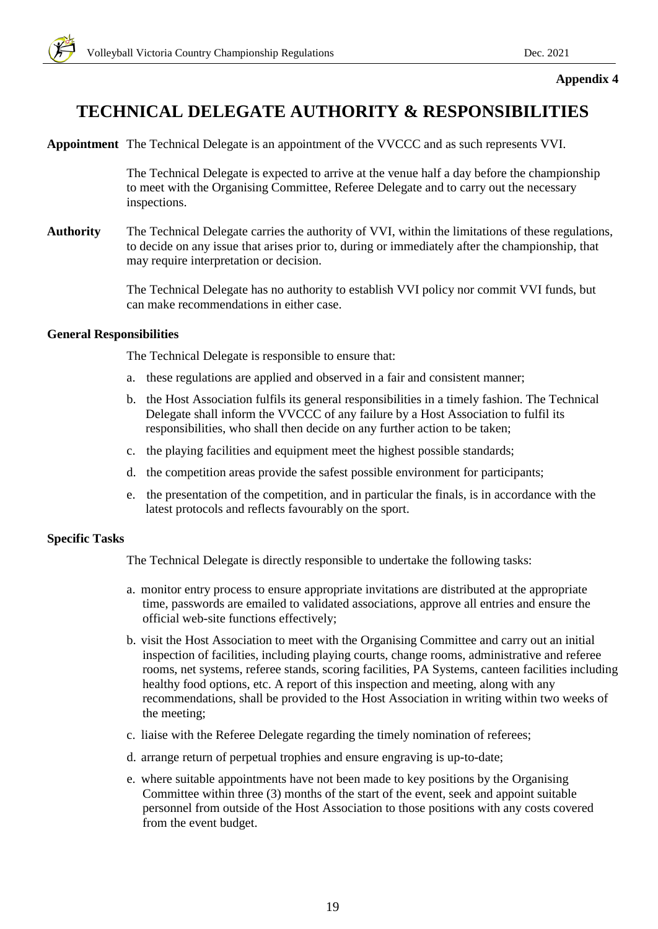# **TECHNICAL DELEGATE AUTHORITY & RESPONSIBILITIES**

**Appointment** The Technical Delegate is an appointment of the VVCCC and as such represents VVI.

The Technical Delegate is expected to arrive at the venue half a day before the championship to meet with the Organising Committee, Referee Delegate and to carry out the necessary inspections.

**Authority** The Technical Delegate carries the authority of VVI, within the limitations of these regulations, to decide on any issue that arises prior to, during or immediately after the championship, that may require interpretation or decision.

> The Technical Delegate has no authority to establish VVI policy nor commit VVI funds, but can make recommendations in either case.

### **General Responsibilities**

The Technical Delegate is responsible to ensure that:

- a. these regulations are applied and observed in a fair and consistent manner;
- b. the Host Association fulfils its general responsibilities in a timely fashion. The Technical Delegate shall inform the VVCCC of any failure by a Host Association to fulfil its responsibilities, who shall then decide on any further action to be taken;
- c. the playing facilities and equipment meet the highest possible standards;
- d. the competition areas provide the safest possible environment for participants;
- e. the presentation of the competition, and in particular the finals, is in accordance with the latest protocols and reflects favourably on the sport.

### **Specific Tasks**

The Technical Delegate is directly responsible to undertake the following tasks:

- a. monitor entry process to ensure appropriate invitations are distributed at the appropriate time, passwords are emailed to validated associations, approve all entries and ensure the official web-site functions effectively;
- b. visit the Host Association to meet with the Organising Committee and carry out an initial inspection of facilities, including playing courts, change rooms, administrative and referee rooms, net systems, referee stands, scoring facilities, PA Systems, canteen facilities including healthy food options, etc. A report of this inspection and meeting, along with any recommendations, shall be provided to the Host Association in writing within two weeks of the meeting;
- c. liaise with the Referee Delegate regarding the timely nomination of referees;
- d. arrange return of perpetual trophies and ensure engraving is up-to-date;
- e. where suitable appointments have not been made to key positions by the Organising Committee within three (3) months of the start of the event, seek and appoint suitable personnel from outside of the Host Association to those positions with any costs covered from the event budget.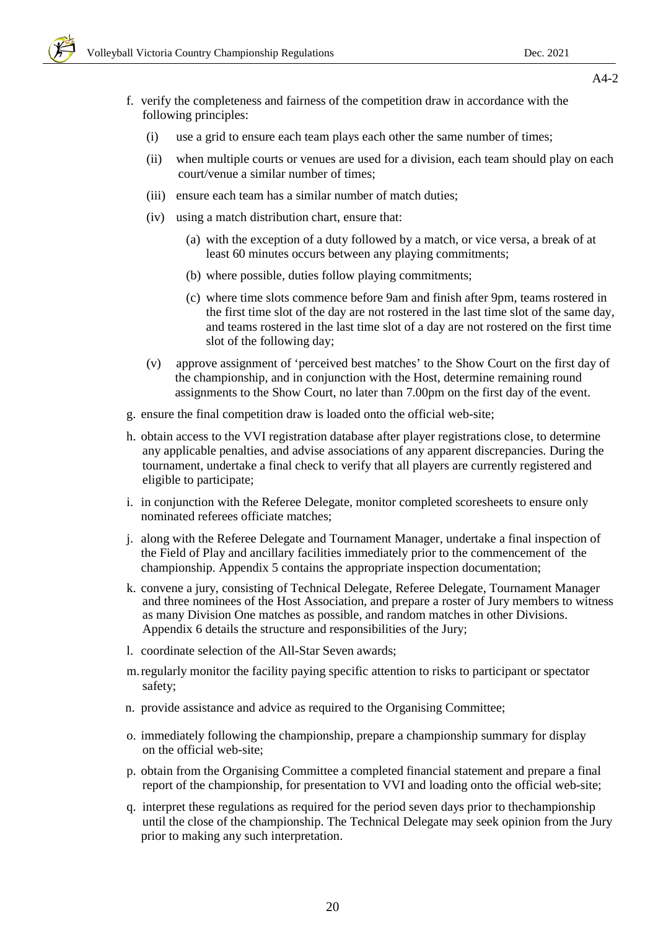- f. verify the completeness and fairness of the competition draw in accordance with the following principles:
	- (i) use a grid to ensure each team plays each other the same number of times;
	- (ii) when multiple courts or venues are used for a division, each team should play on each court/venue a similar number of times;
	- (iii) ensure each team has a similar number of match duties;
	- (iv) using a match distribution chart, ensure that:
		- (a) with the exception of a duty followed by a match, or vice versa, a break of at least 60 minutes occurs between any playing commitments;
		- (b) where possible, duties follow playing commitments;
		- (c) where time slots commence before 9am and finish after 9pm, teams rostered in the first time slot of the day are not rostered in the last time slot of the same day, and teams rostered in the last time slot of a day are not rostered on the first time slot of the following day;
	- (v) approve assignment of 'perceived best matches' to the Show Court on the first day of the championship, and in conjunction with the Host, determine remaining round assignments to the Show Court, no later than 7.00pm on the first day of the event.
- g. ensure the final competition draw is loaded onto the official web-site;
- h. obtain access to the VVI registration database after player registrations close, to determine any applicable penalties, and advise associations of any apparent discrepancies. During the tournament, undertake a final check to verify that all players are currently registered and eligible to participate;
- i. in conjunction with the Referee Delegate, monitor completed scoresheets to ensure only nominated referees officiate matches;
- j. along with the Referee Delegate and Tournament Manager, undertake a final inspection of the Field of Play and ancillary facilities immediately prior to the commencement of the championship. Appendix 5 contains the appropriate inspection documentation;
- k. convene a jury, consisting of Technical Delegate, Referee Delegate, Tournament Manager and three nominees of the Host Association, and prepare a roster of Jury members to witness as many Division One matches as possible, and random matches in other Divisions. Appendix 6 details the structure and responsibilities of the Jury;
- l. coordinate selection of the All-Star Seven awards;
- m.regularly monitor the facility paying specific attention to risks to participant or spectator safety;
- n. provide assistance and advice as required to the Organising Committee;
- o. immediately following the championship, prepare a championship summary for display on the official web-site;
- p. obtain from the Organising Committee a completed financial statement and prepare a final report of the championship, for presentation to VVI and loading onto the official web-site;
- q. interpret these regulations as required for the period seven days prior to thechampionship until the close of the championship. The Technical Delegate may seek opinion from the Jury prior to making any such interpretation.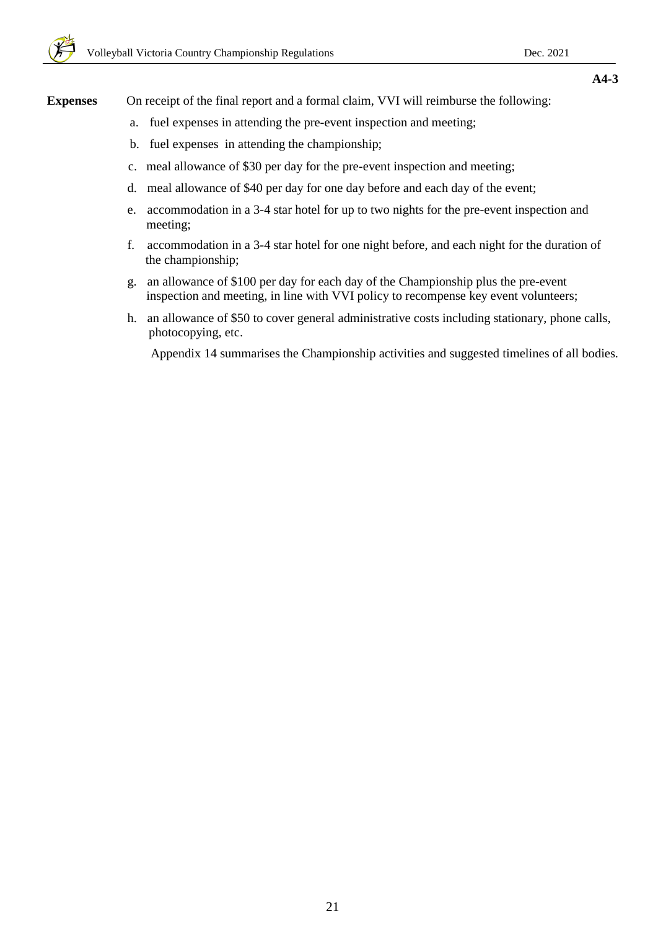**Expenses** On receipt of the final report and a formal claim, VVI will reimburse the following:

- a. fuel expenses in attending the pre-event inspection and meeting;
- b. fuel expenses in attending the championship;
- c. meal allowance of \$30 per day for the pre-event inspection and meeting;
- d. meal allowance of \$40 per day for one day before and each day of the event;
- e. accommodation in a 3-4 star hotel for up to two nights for the pre-event inspection and meeting;
- f. accommodation in a 3-4 star hotel for one night before, and each night for the duration of the championship;
- g. an allowance of \$100 per day for each day of the Championship plus the pre-event inspection and meeting, in line with VVI policy to recompense key event volunteers;
- h. an allowance of \$50 to cover general administrative costs including stationary, phone calls, photocopying, etc.

Appendix 14 summarises the Championship activities and suggested timelines of all bodies.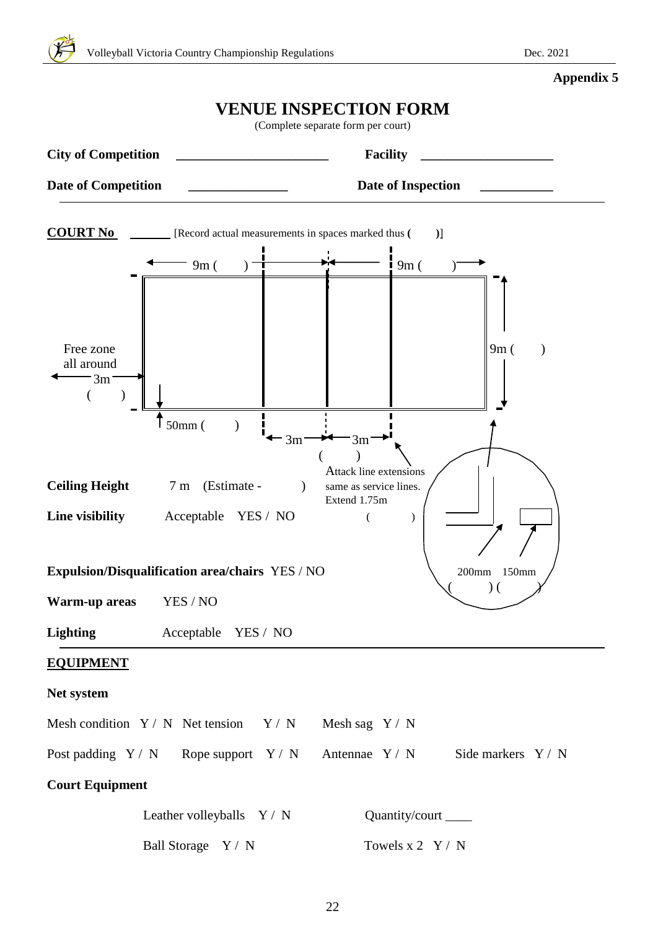



| <b>Date of Competition</b> |     | Date of Inspection                 |  |
|----------------------------|-----|------------------------------------|--|
| $\alpha$ ating at          | $-$ | $\sim$ $\sim$ $\sim$ $\sim$ $\sim$ |  |



**Net system**

| Mesh condition $Y / N$ Net tension $Y / N$           |                             |  | Mesh sag $Y / N$ |                       |                      |  |
|------------------------------------------------------|-----------------------------|--|------------------|-----------------------|----------------------|--|
| Post padding $Y/N$ Rope support $Y/N$ Antennae $Y/N$ |                             |  |                  |                       | Side markers $Y / N$ |  |
| <b>Court Equipment</b>                               |                             |  |                  |                       |                      |  |
|                                                      | Leather volleyballs $Y / N$ |  |                  | Quantity/court $\_\_$ |                      |  |

| Ball Storage Y / N | Towels $x 2 Y/N$ |  |
|--------------------|------------------|--|
|--------------------|------------------|--|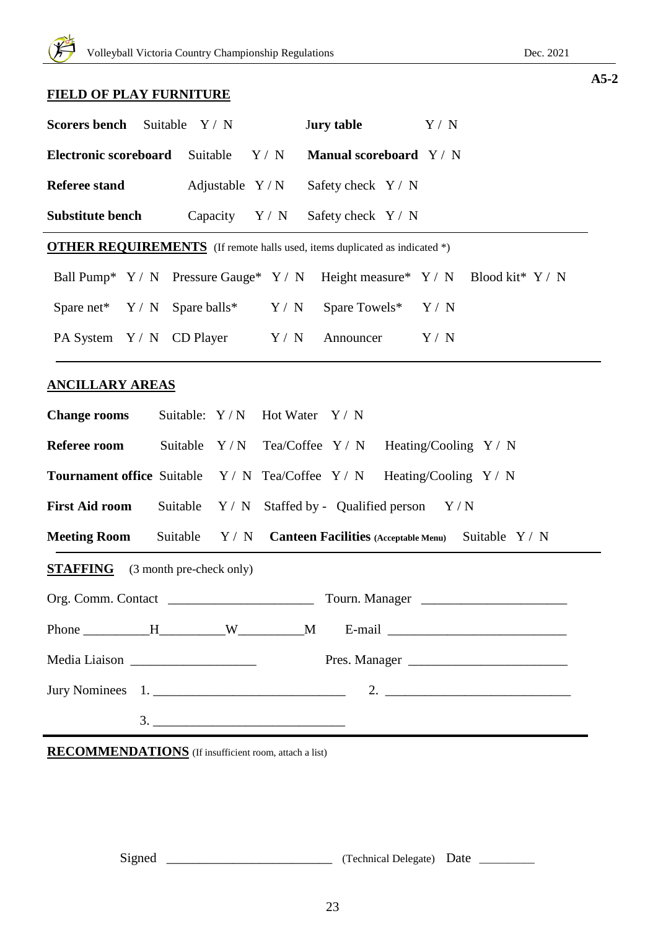**A5-2**

# **FIELD OF PLAY FURNITURE**

| <b>Scorers bench</b><br>Suitable                                                  | Y / N                       | <b>Jury table</b>                             | Y / N                                                                         |  |  |
|-----------------------------------------------------------------------------------|-----------------------------|-----------------------------------------------|-------------------------------------------------------------------------------|--|--|
| <b>Electronic scoreboard</b>                                                      | Suitable<br>Y / N           | Manual scoreboard Y/N                         |                                                                               |  |  |
| <b>Referee stand</b>                                                              | Adjustable $Y/N$            | Safety check Y / N                            |                                                                               |  |  |
| Substitute bench                                                                  | Capacity $Y / N$            | Safety check $Y / N$                          |                                                                               |  |  |
| <b>OTHER REQUIREMENTS</b> (If remote halls used, items duplicated as indicated *) |                             |                                               |                                                                               |  |  |
|                                                                                   |                             |                                               | Ball Pump* Y / N Pressure Gauge* Y / N Height measure* Y / N Blood kit* Y / N |  |  |
| Spare net* $Y / N$ Spare balls*                                                   | Y / N                       | Spare Towels* $Y / N$                         |                                                                               |  |  |
| PA System Y / N CD Player                                                         | Y / N                       | Announcer                                     | Y / N                                                                         |  |  |
| <b>ANCILLARY AREAS</b>                                                            |                             |                                               |                                                                               |  |  |
| <b>Change rooms</b>                                                               | Suitable: Y/N Hot Water Y/N |                                               |                                                                               |  |  |
| Referee room                                                                      | Suitable<br>Y/N             | Tea/Coffee $Y / N$                            | Heating/Cooling $Y / N$                                                       |  |  |
| <b>Tournament office</b> Suitable Y/N Tea/Coffee Y/N                              |                             |                                               | Heating/Cooling $Y / N$                                                       |  |  |
| <b>First Aid room</b>                                                             | Suitable                    | $Y / N$ Staffed by - Qualified person $Y / N$ |                                                                               |  |  |
| <b>Meeting Room</b>                                                               | Suitable<br>Y / N           | <b>Canteen Facilities (Acceptable Menu)</b>   | Suitable Y/N                                                                  |  |  |
| <b>STAFFING</b> (3 month pre-check only)                                          |                             |                                               |                                                                               |  |  |
| Org. Comm. Contact<br>Tourn. Manager                                              |                             |                                               |                                                                               |  |  |
|                                                                                   |                             |                                               |                                                                               |  |  |
| Media Liaison                                                                     |                             |                                               |                                                                               |  |  |
|                                                                                   |                             |                                               |                                                                               |  |  |
|                                                                                   |                             |                                               |                                                                               |  |  |

**RECOMMENDATIONS** (If insufficient room, attach a list)

Signed \_\_\_\_\_\_\_\_\_\_\_\_\_\_\_\_\_\_\_\_\_\_\_\_\_\_\_\_\_\_\_\_ (Technical Delegate) Date \_\_\_\_\_\_\_\_\_\_\_\_\_\_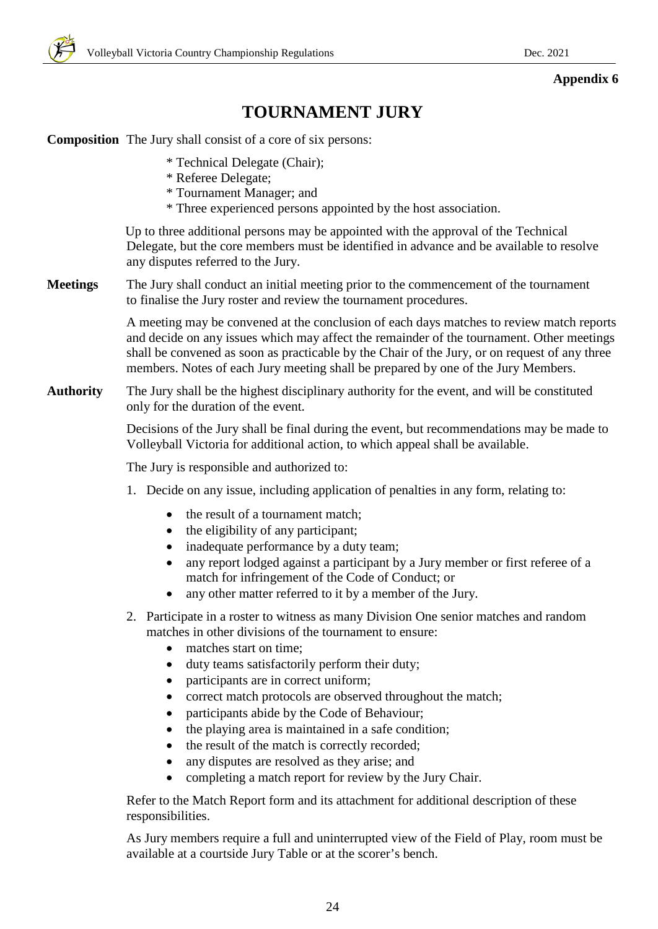# **TOURNAMENT JURY**

**Composition** The Jury shall consist of a core of six persons:

- \* Technical Delegate (Chair);
- \* Referee Delegate;
- \* Tournament Manager; and
- \* Three experienced persons appointed by the host association.

Up to three additional persons may be appointed with the approval of the Technical Delegate, but the core members must be identified in advance and be available to resolve any disputes referred to the Jury.

**Meetings** The Jury shall conduct an initial meeting prior to the commencement of the tournament to finalise the Jury roster and review the tournament procedures.

> A meeting may be convened at the conclusion of each days matches to review match reports and decide on any issues which may affect the remainder of the tournament. Other meetings shall be convened as soon as practicable by the Chair of the Jury, or on request of any three members. Notes of each Jury meeting shall be prepared by one of the Jury Members.

# **Authority** The Jury shall be the highest disciplinary authority for the event, and will be constituted only for the duration of the event.

Decisions of the Jury shall be final during the event, but recommendations may be made to Volleyball Victoria for additional action, to which appeal shall be available.

The Jury is responsible and authorized to:

- 1. Decide on any issue, including application of penalties in any form, relating to:
	- the result of a tournament match;
	- the eligibility of any participant;
	- inadequate performance by a duty team;
	- any report lodged against a participant by a Jury member or first referee of a match for infringement of the Code of Conduct; or
	- any other matter referred to it by a member of the Jury.

2. Participate in a roster to witness as many Division One senior matches and random matches in other divisions of the tournament to ensure:

- matches start on time:
- duty teams satisfactorily perform their duty;
- participants are in correct uniform;
- correct match protocols are observed throughout the match;
- participants abide by the Code of Behaviour;
- the playing area is maintained in a safe condition;
- the result of the match is correctly recorded;
- any disputes are resolved as they arise; and
- completing a match report for review by the Jury Chair.

Refer to the Match Report form and its attachment for additional description of these responsibilities.

As Jury members require a full and uninterrupted view of the Field of Play, room must be available at a courtside Jury Table or at the scorer's bench.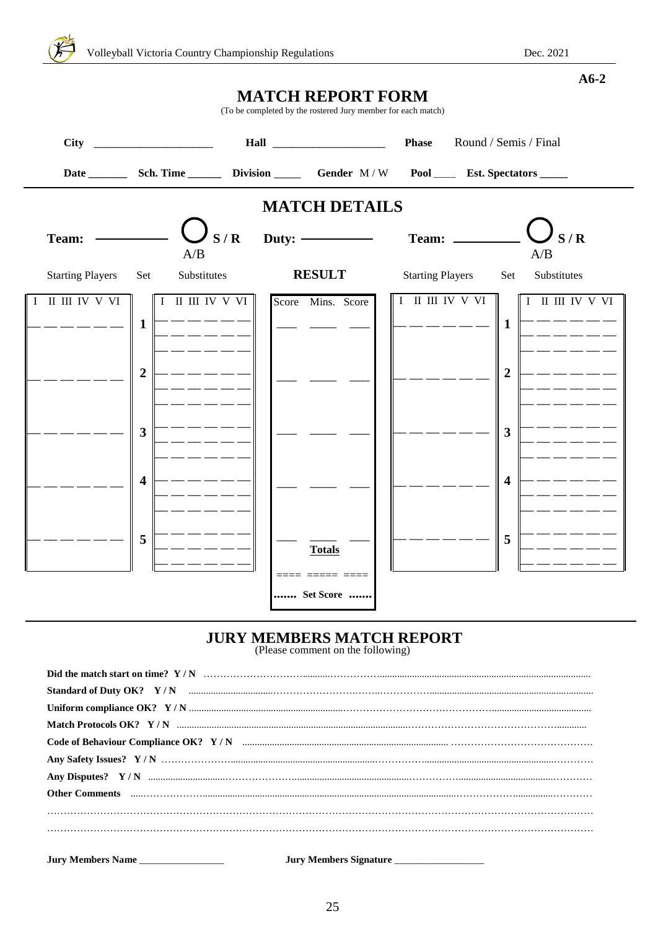#### $A6-2$ **MATCH REPORT FORM** (To be completed by the rostered Jury member for each match) Round / Semis / Final  $City \_$ **Phase** Division \_\_\_\_\_\_\_ Gender M/W Pool\_ Est. Spectators **MATCH DETAILS**  $S/R$  $S/R$ Team: Duty:  $-$ Team: \_  $A/B$  $A/B$ **RESULT Starting Players** Set Substitutes **Starting Players** Set Substitutes II III IV V VI II III IV V VI II III IV V VI II III IV V VI I I Score Mins. Score I I  $\mathbf{1}$  $\mathbf{1}$  $\overline{2}$  $\overline{2}$  $\overline{\mathbf{3}}$  $\overline{\mathbf{3}}$  $\overline{\mathbf{4}}$  $\boldsymbol{\Delta}$ 5 5 **Totals** ... Set Score ....

# **JURY MEMBERS MATCH REPORT**<br>(Please comment on the following)

| <b>Jury Members Name</b> | <b>Jury Members Signature</b> |
|--------------------------|-------------------------------|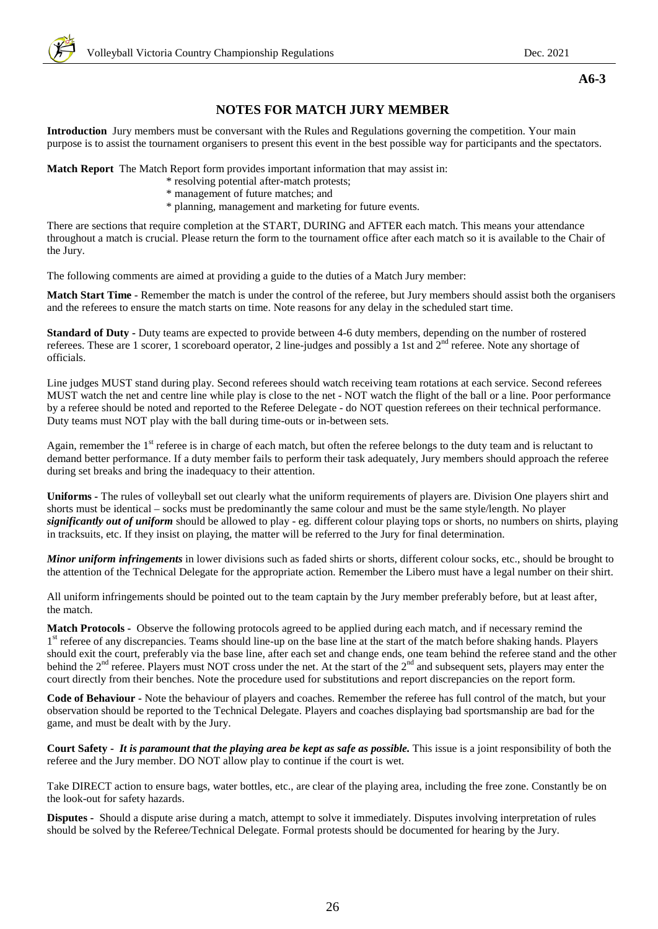**A6-3**

# **NOTES FOR MATCH JURY MEMBER**

**Introduction** Jury members must be conversant with the Rules and Regulations governing the competition. Your main purpose is to assist the tournament organisers to present this event in the best possible way for participants and the spectators.

**Match Report** The Match Report form provides important information that may assist in:

- \* resolving potential after-match protests;
- \* management of future matches; and
- \* planning, management and marketing for future events.

There are sections that require completion at the START, DURING and AFTER each match. This means your attendance throughout a match is crucial. Please return the form to the tournament office after each match so it is available to the Chair of the Jury.

The following comments are aimed at providing a guide to the duties of a Match Jury member:

**Match Start Time** - Remember the match is under the control of the referee, but Jury members should assist both the organisers and the referees to ensure the match starts on time. Note reasons for any delay in the scheduled start time.

**Standard of Duty -** Duty teams are expected to provide between 4-6 duty members, depending on the number of rostered referees. These are 1 scorer, 1 scoreboard operator, 2 line-judges and possibly a 1st and  $2<sup>nd</sup>$  referee. Note any shortage of officials.

Line judges MUST stand during play. Second referees should watch receiving team rotations at each service. Second referees MUST watch the net and centre line while play is close to the net - NOT watch the flight of the ball or a line. Poor performance by a referee should be noted and reported to the Referee Delegate - do NOT question referees on their technical performance. Duty teams must NOT play with the ball during time-outs or in-between sets.

Again, remember the 1<sup>st</sup> referee is in charge of each match, but often the referee belongs to the duty team and is reluctant to demand better performance. If a duty member fails to perform their task adequately, Jury members should approach the referee during set breaks and bring the inadequacy to their attention.

**Uniforms -** The rules of volleyball set out clearly what the uniform requirements of players are. Division One players shirt and shorts must be identical – socks must be predominantly the same colour and must be the same style/length. No player *significantly out of uniform* should be allowed to play - eg. different colour playing tops or shorts, no numbers on shirts, playing in tracksuits, etc. If they insist on playing, the matter will be referred to the Jury for final determination.

*Minor uniform infringements* in lower divisions such as faded shirts or shorts, different colour socks, etc., should be brought to the attention of the Technical Delegate for the appropriate action. Remember the Libero must have a legal number on their shirt.

All uniform infringements should be pointed out to the team captain by the Jury member preferably before, but at least after, the match.

**Match Protocols -** Observe the following protocols agreed to be applied during each match, and if necessary remind the 1<sup>st</sup> referee of any discrepancies. Teams should line-up on the base line at the start of the match before shaking hands. Players should exit the court, preferably via the base line, after each set and change ends, one team behind the referee stand and the other behind the  $2<sup>nd</sup>$  referee. Players must NOT cross under the net. At the start of the  $2<sup>nd</sup>$  and subsequent sets, players may enter the court directly from their benches. Note the procedure used for substitutions and report discrepancies on the report form.

**Code of Behaviour -** Note the behaviour of players and coaches. Remember the referee has full control of the match, but your observation should be reported to the Technical Delegate. Players and coaches displaying bad sportsmanship are bad for the game, and must be dealt with by the Jury.

**Court Safety -** *It is paramount that the playing area be kept as safe as possible.* This issue is a joint responsibility of both the referee and the Jury member. DO NOT allow play to continue if the court is wet.

Take DIRECT action to ensure bags, water bottles, etc., are clear of the playing area, including the free zone. Constantly be on the look-out for safety hazards.

**Disputes -** Should a dispute arise during a match, attempt to solve it immediately. Disputes involving interpretation of rules should be solved by the Referee/Technical Delegate. Formal protests should be documented for hearing by the Jury.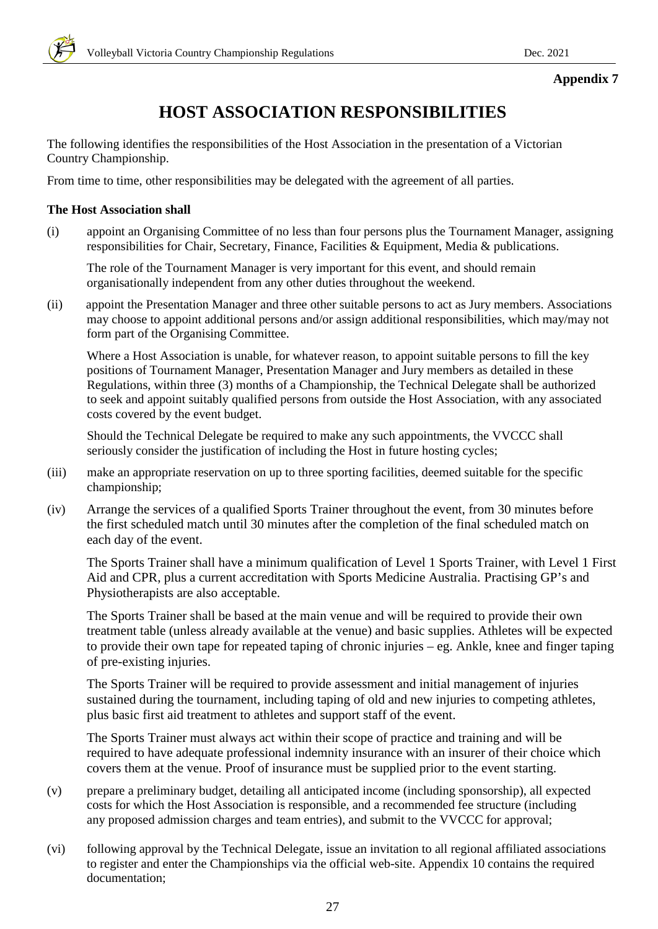# **HOST ASSOCIATION RESPONSIBILITIES**

The following identifies the responsibilities of the Host Association in the presentation of a Victorian Country Championship.

From time to time, other responsibilities may be delegated with the agreement of all parties.

# **The Host Association shall**

(i) appoint an Organising Committee of no less than four persons plus the Tournament Manager, assigning responsibilities for Chair, Secretary, Finance, Facilities & Equipment, Media & publications.

The role of the Tournament Manager is very important for this event, and should remain organisationally independent from any other duties throughout the weekend.

(ii) appoint the Presentation Manager and three other suitable persons to act as Jury members. Associations may choose to appoint additional persons and/or assign additional responsibilities, which may/may not form part of the Organising Committee.

Where a Host Association is unable, for whatever reason, to appoint suitable persons to fill the key positions of Tournament Manager, Presentation Manager and Jury members as detailed in these Regulations, within three (3) months of a Championship, the Technical Delegate shall be authorized to seek and appoint suitably qualified persons from outside the Host Association, with any associated costs covered by the event budget.

Should the Technical Delegate be required to make any such appointments, the VVCCC shall seriously consider the justification of including the Host in future hosting cycles;

- (iii) make an appropriate reservation on up to three sporting facilities, deemed suitable for the specific championship;
- (iv) Arrange the services of a qualified Sports Trainer throughout the event, from 30 minutes before the first scheduled match until 30 minutes after the completion of the final scheduled match on each day of the event.

The Sports Trainer shall have a minimum qualification of Level 1 Sports Trainer, with Level 1 First Aid and CPR, plus a current accreditation with Sports Medicine Australia. Practising GP's and Physiotherapists are also acceptable.

The Sports Trainer shall be based at the main venue and will be required to provide their own treatment table (unless already available at the venue) and basic supplies. Athletes will be expected to provide their own tape for repeated taping of chronic injuries  $-e$ g. Ankle, knee and finger taping of pre-existing injuries.

The Sports Trainer will be required to provide assessment and initial management of injuries sustained during the tournament, including taping of old and new injuries to competing athletes, plus basic first aid treatment to athletes and support staff of the event.

The Sports Trainer must always act within their scope of practice and training and will be required to have adequate professional indemnity insurance with an insurer of their choice which covers them at the venue. Proof of insurance must be supplied prior to the event starting.

- (v) prepare a preliminary budget, detailing all anticipated income (including sponsorship), all expected costs for which the Host Association is responsible, and a recommended fee structure (including any proposed admission charges and team entries), and submit to the VVCCC for approval;
- (vi) following approval by the Technical Delegate, issue an invitation to all regional affiliated associations to register and enter the Championships via the official web-site. Appendix 10 contains the required documentation;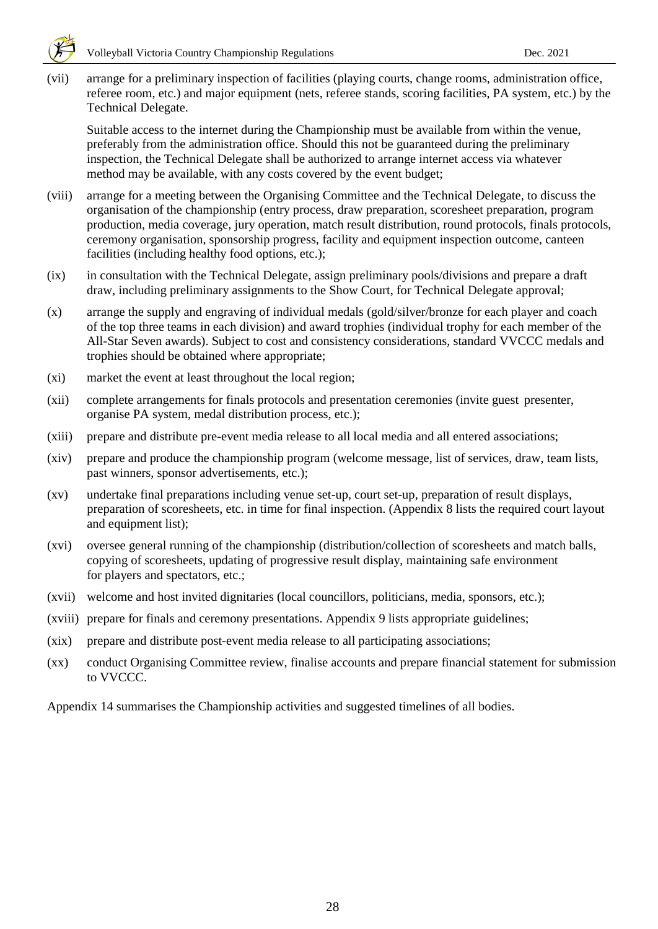

(vii) arrange for a preliminary inspection of facilities (playing courts, change rooms, administration office, referee room, etc.) and major equipment (nets, referee stands, scoring facilities, PA system, etc.) by the Technical Delegate.

Suitable access to the internet during the Championship must be available from within the venue, preferably from the administration office. Should this not be guaranteed during the preliminary inspection, the Technical Delegate shall be authorized to arrange internet access via whatever method may be available, with any costs covered by the event budget;

- (viii) arrange for a meeting between the Organising Committee and the Technical Delegate, to discuss the organisation of the championship (entry process, draw preparation, scoresheet preparation, program production, media coverage, jury operation, match result distribution, round protocols, finals protocols, ceremony organisation, sponsorship progress, facility and equipment inspection outcome, canteen facilities (including healthy food options, etc.);
- (ix) in consultation with the Technical Delegate, assign preliminary pools/divisions and prepare a draft draw, including preliminary assignments to the Show Court, for Technical Delegate approval;
- (x) arrange the supply and engraving of individual medals (gold/silver/bronze for each player and coach of the top three teams in each division) and award trophies (individual trophy for each member of the All-Star Seven awards). Subject to cost and consistency considerations, standard VVCCC medals and trophies should be obtained where appropriate;
- (xi) market the event at least throughout the local region;
- (xii) complete arrangements for finals protocols and presentation ceremonies (invite guest presenter, organise PA system, medal distribution process, etc.);
- (xiii) prepare and distribute pre-event media release to all local media and all entered associations;
- (xiv) prepare and produce the championship program (welcome message, list of services, draw, team lists, past winners, sponsor advertisements, etc.);
- (xv) undertake final preparations including venue set-up, court set-up, preparation of result displays, preparation of scoresheets, etc. in time for final inspection. (Appendix 8 lists the required court layout and equipment list);
- (xvi) oversee general running of the championship (distribution/collection of scoresheets and match balls, copying of scoresheets, updating of progressive result display, maintaining safe environment for players and spectators, etc.;
- (xvii) welcome and host invited dignitaries (local councillors, politicians, media, sponsors, etc.);
- (xviii) prepare for finals and ceremony presentations. Appendix 9 lists appropriate guidelines;
- (xix) prepare and distribute post-event media release to all participating associations;
- (xx) conduct Organising Committee review, finalise accounts and prepare financial statement for submission to VVCCC.

Appendix 14 summarises the Championship activities and suggested timelines of all bodies.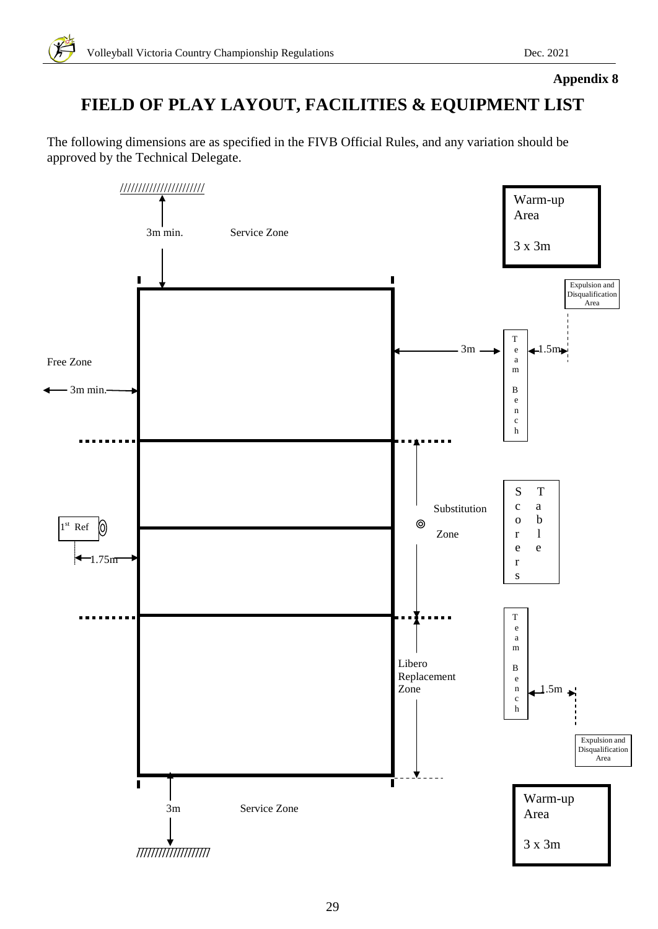# **FIELD OF PLAY LAYOUT, FACILITIES & EQUIPMENT LIST**

The following dimensions are as specified in the FIVB Official Rules, and any variation should be approved by the Technical Delegate.

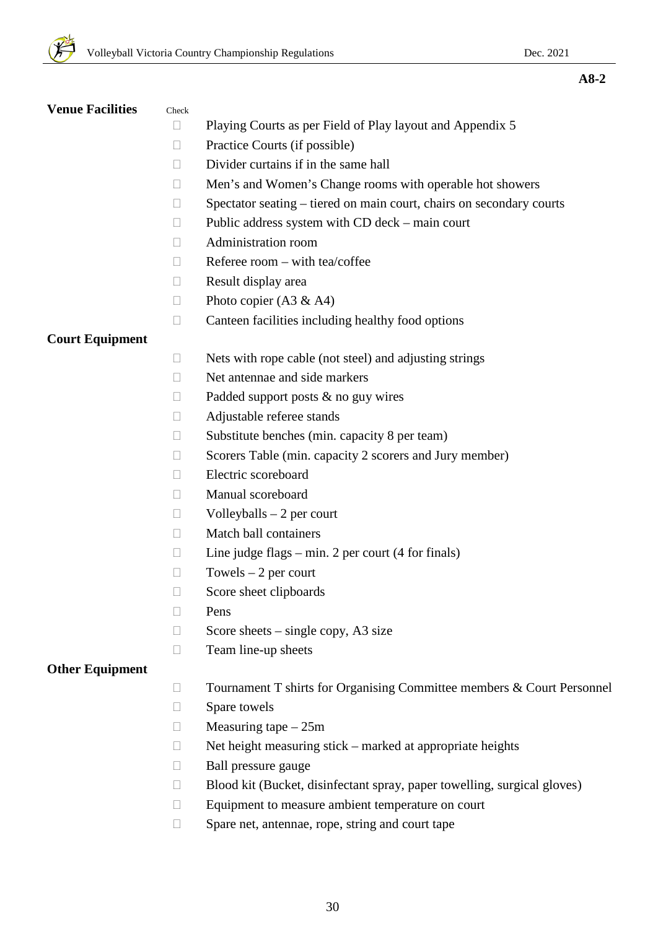# **Venue Facilities** Check

- Playing Courts as per Field of Play layout and Appendix 5
- $\Box$  Practice Courts (if possible)
- $\square$  Divider curtains if in the same hall
- Men's and Women's Change rooms with operable hot showers
- $\Box$  Spectator seating tiered on main court, chairs on secondary courts
- $\Box$  Public address system with CD deck main court
- Administration room
- $\Box$  Referee room with tea/coffee
- $\Box$  Result display area
- $\Box$  Photo copier (A3 & A4)
- $\Box$  Canteen facilities including healthy food options

# **Court Equipment**

- $\Box$  Nets with rope cable (not steel) and adjusting strings
- □ Net antennae and side markers
- $\Box$  Padded support posts & no guy wires
- Adjustable referee stands
- $\square$  Substitute benches (min. capacity 8 per team)
- $\Box$  Scorers Table (min. capacity 2 scorers and Jury member)
- Electric scoreboard
- Manual scoreboard
- $\Box$  Volleyballs 2 per court
- Match ball containers
- $\Box$  Line judge flags min. 2 per court (4 for finals)
- $\Box$  Towels 2 per court
- Score sheet clipboards
- $\Box$  Pens
- $\Box$  Score sheets single copy, A3 size
- $\Box$  Team line-up sheets

# **Other Equipment**

- □ Tournament T shirts for Organising Committee members & Court Personnel
- □ Spare towels
- $\Box$  Measuring tape 25m
- $\Box$  Net height measuring stick marked at appropriate heights
- □ Ball pressure gauge
- □ Blood kit (Bucket, disinfectant spray, paper towelling, surgical gloves)
- Equipment to measure ambient temperature on court
- $\Box$  Spare net, antennae, rope, string and court tape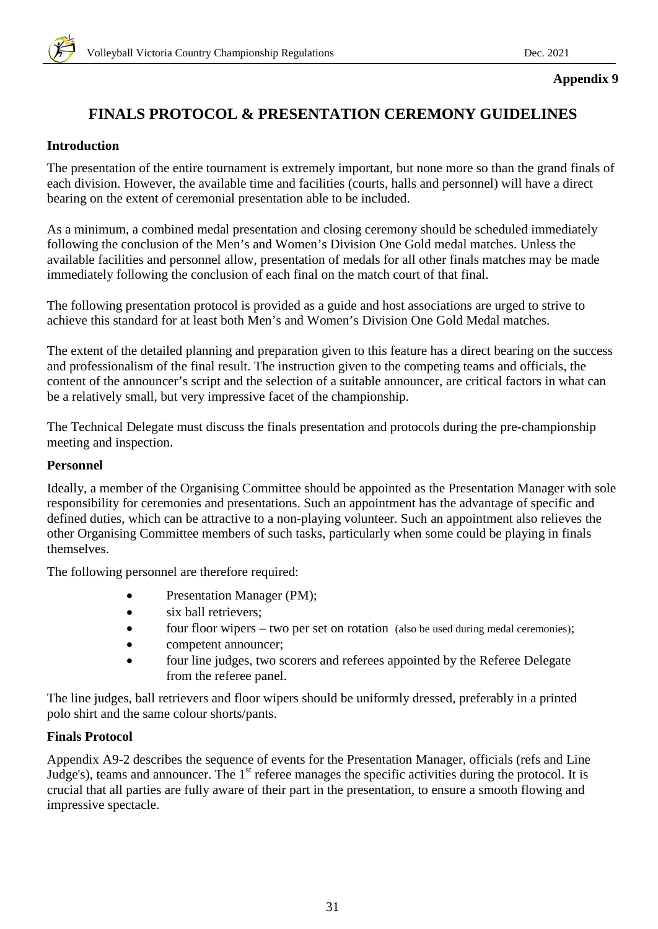# **FINALS PROTOCOL & PRESENTATION CEREMONY GUIDELINES**

# **Introduction**

The presentation of the entire tournament is extremely important, but none more so than the grand finals of each division. However, the available time and facilities (courts, halls and personnel) will have a direct bearing on the extent of ceremonial presentation able to be included.

As a minimum, a combined medal presentation and closing ceremony should be scheduled immediately following the conclusion of the Men's and Women's Division One Gold medal matches. Unless the available facilities and personnel allow, presentation of medals for all other finals matches may be made immediately following the conclusion of each final on the match court of that final.

The following presentation protocol is provided as a guide and host associations are urged to strive to achieve this standard for at least both Men's and Women's Division One Gold Medal matches.

The extent of the detailed planning and preparation given to this feature has a direct bearing on the success and professionalism of the final result. The instruction given to the competing teams and officials, the content of the announcer's script and the selection of a suitable announcer, are critical factors in what can be a relatively small, but very impressive facet of the championship.

The Technical Delegate must discuss the finals presentation and protocols during the pre-championship meeting and inspection.

# **Personnel**

Ideally, a member of the Organising Committee should be appointed as the Presentation Manager with sole responsibility for ceremonies and presentations. Such an appointment has the advantage of specific and defined duties, which can be attractive to a non-playing volunteer. Such an appointment also relieves the other Organising Committee members of such tasks, particularly when some could be playing in finals themselves.

The following personnel are therefore required:

- Presentation Manager (PM);
- six ball retrievers;
- four floor wipers two per set on rotation (also be used during medal ceremonies);
- competent announcer;
- four line judges, two scorers and referees appointed by the Referee Delegate from the referee panel.

The line judges, ball retrievers and floor wipers should be uniformly dressed, preferably in a printed polo shirt and the same colour shorts/pants.

# **Finals Protocol**

Appendix A9-2 describes the sequence of events for the Presentation Manager, officials (refs and Line Judge's), teams and announcer. The 1<sup>st</sup> referee manages the specific activities during the protocol. It is crucial that all parties are fully aware of their part in the presentation, to ensure a smooth flowing and impressive spectacle.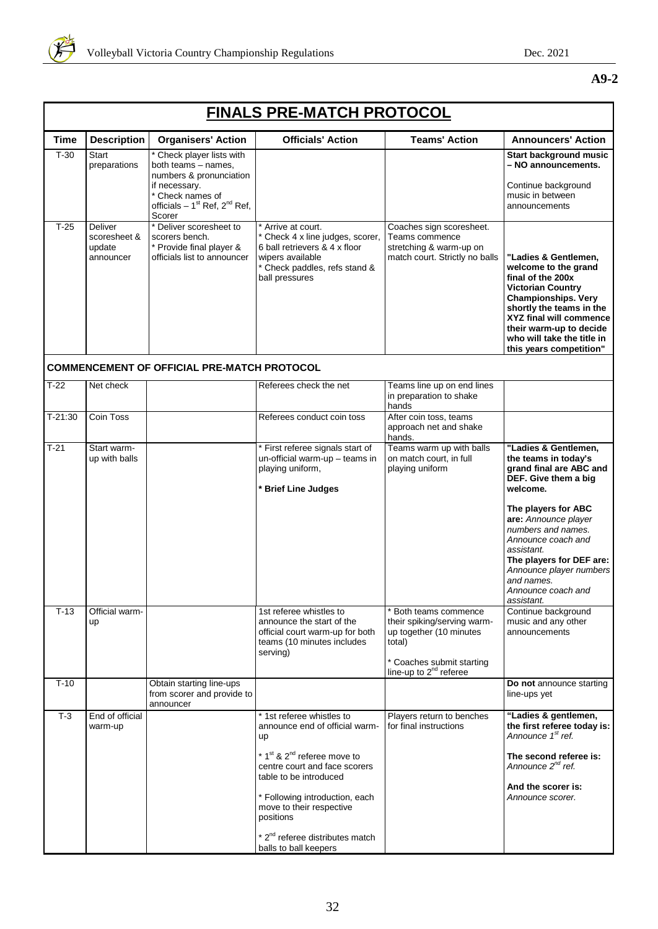

# **A9-2**

| <u>FINALS PRE-MATCH PROTOCOL</u> |                                                       |                                                                                                                                                                |                                                                                                                                                                                                                                                                  |                                                                                                                        |                                                                                                                                                                                                                                                                        |  |
|----------------------------------|-------------------------------------------------------|----------------------------------------------------------------------------------------------------------------------------------------------------------------|------------------------------------------------------------------------------------------------------------------------------------------------------------------------------------------------------------------------------------------------------------------|------------------------------------------------------------------------------------------------------------------------|------------------------------------------------------------------------------------------------------------------------------------------------------------------------------------------------------------------------------------------------------------------------|--|
| <b>Time</b>                      | <b>Description</b>                                    | <b>Organisers' Action</b>                                                                                                                                      | <b>Officials' Action</b>                                                                                                                                                                                                                                         | <b>Teams' Action</b>                                                                                                   | <b>Announcers' Action</b>                                                                                                                                                                                                                                              |  |
| $T-30$                           | Start<br>preparations                                 | * Check player lists with<br>both teams - names,<br>numbers & pronunciation<br>if necessary.<br>* Check names of<br>officials $-1st$ Ref, $2nd$ Ref,<br>Scorer |                                                                                                                                                                                                                                                                  |                                                                                                                        | <b>Start background music</b><br>- NO announcements.<br>Continue background<br>music in between<br>announcements                                                                                                                                                       |  |
| $T-25$                           | <b>Deliver</b><br>scoresheet &<br>update<br>announcer | * Deliver scoresheet to<br>scorers bench.<br>* Provide final player &<br>officials list to announcer                                                           | * Arrive at court.<br>* Check 4 x line judges, scorer,<br>6 ball retrievers & 4 x floor<br>wipers available<br>* Check paddles, refs stand &<br>ball pressures                                                                                                   | Coaches sign scoresheet.<br>Teams commence<br>stretching & warm-up on<br>match court. Strictly no balls                | "Ladies & Gentlemen,<br>welcome to the grand<br>final of the 200x<br><b>Victorian Country</b><br><b>Championships. Very</b><br>shortly the teams in the<br>XYZ final will commence<br>their warm-up to decide<br>who will take the title in<br>this years competition" |  |
|                                  |                                                       | <b>COMMENCEMENT OF OFFICIAL PRE-MATCH PROTOCOL</b>                                                                                                             |                                                                                                                                                                                                                                                                  |                                                                                                                        |                                                                                                                                                                                                                                                                        |  |
| $T-22$                           | Net check                                             |                                                                                                                                                                | Referees check the net                                                                                                                                                                                                                                           | Teams line up on end lines<br>in preparation to shake<br>hands                                                         |                                                                                                                                                                                                                                                                        |  |
| $T-21:30$                        | Coin Toss                                             |                                                                                                                                                                | Referees conduct coin toss                                                                                                                                                                                                                                       | After coin toss, teams<br>approach net and shake<br>hands.                                                             |                                                                                                                                                                                                                                                                        |  |
| $T-21$                           | Start warm-<br>up with balls                          |                                                                                                                                                                | * First referee signals start of<br>un-official warm-up - teams in<br>playing uniform,<br>* Brief Line Judges                                                                                                                                                    | Teams warm up with balls<br>on match court, in full<br>playing uniform                                                 | "Ladies & Gentlemen,<br>the teams in today's<br>grand final are ABC and<br>DEF. Give them a big<br>welcome.<br>The players for ABC<br>are: Announce player<br>numbers and names.<br>Announce coach and<br>assistant.<br>The players for DEF are:                       |  |
|                                  |                                                       |                                                                                                                                                                |                                                                                                                                                                                                                                                                  |                                                                                                                        | Announce player numbers<br>and names.<br>Announce coach and<br>assistant.                                                                                                                                                                                              |  |
| $T-13$                           | Official warm-<br>up                                  |                                                                                                                                                                | 1st referee whistles to<br>announce the start of the<br>official court warm-up for both<br>teams (10 minutes includes<br>serving)                                                                                                                                | * Both teams commence<br>their spiking/serving warm-<br>up together (10 minutes<br>total)<br>* Coaches submit starting | Continue background<br>music and any other<br>announcements                                                                                                                                                                                                            |  |
| $T-10$                           |                                                       | Obtain starting line-ups                                                                                                                                       |                                                                                                                                                                                                                                                                  | line-up to 2 <sup>nd</sup> referee                                                                                     | Do not announce starting                                                                                                                                                                                                                                               |  |
|                                  |                                                       | from scorer and provide to<br>announcer                                                                                                                        |                                                                                                                                                                                                                                                                  |                                                                                                                        | line-ups yet                                                                                                                                                                                                                                                           |  |
| $T-3$                            | End of official<br>warm-up                            |                                                                                                                                                                | * 1st referee whistles to<br>announce end of official warm-<br>up<br>$*$ 1 <sup>st</sup> & 2 <sup>nd</sup> referee move to<br>centre court and face scorers<br>table to be introduced<br>* Following introduction, each<br>move to their respective<br>positions | Players return to benches<br>for final instructions                                                                    | "Ladies & gentlemen,<br>the first referee today is:<br>Announce 1 <sup>st</sup> ref.<br>The second referee is:<br>Announce 2 <sup>nd</sup> ref.<br>And the scorer is:<br>Announce scorer.                                                                              |  |
|                                  |                                                       |                                                                                                                                                                | * 2 <sup>nd</sup> referee distributes match<br>balls to ball keepers                                                                                                                                                                                             |                                                                                                                        |                                                                                                                                                                                                                                                                        |  |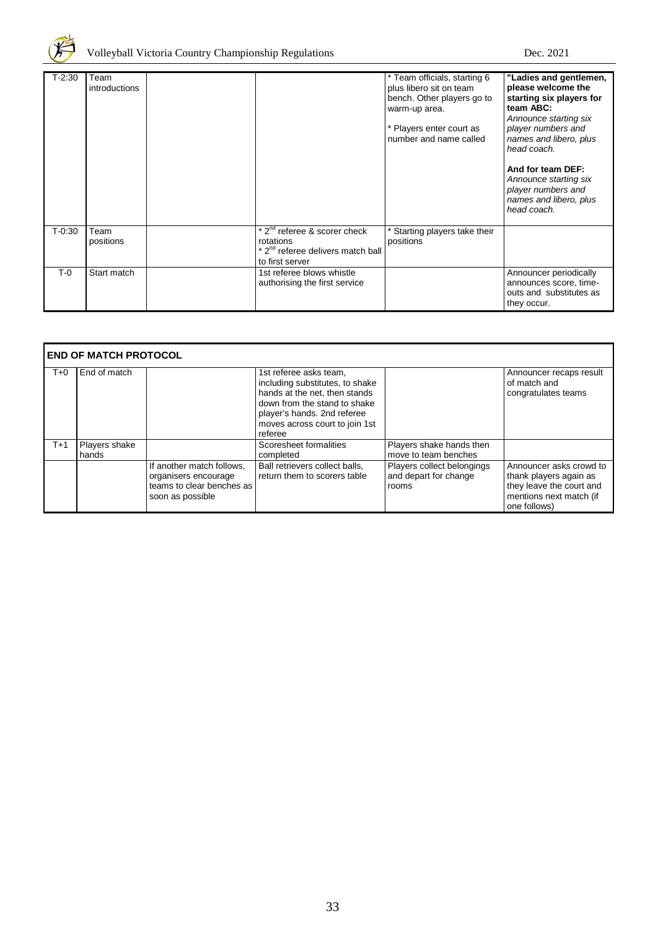

| $T-2:30$ | Team<br>introductions |                                                                                                                             | * Team officials, starting 6<br>plus libero sit on team<br>bench. Other players go to<br>warm-up area.<br>* Players enter court as<br>number and name called | "Ladies and gentlemen,<br>please welcome the<br>starting six players for<br>team ABC:<br>Announce starting six<br>player numbers and<br>names and libero, plus<br>head coach.<br>And for team DEF:<br>Announce starting six<br>player numbers and<br>names and libero, plus<br>head coach. |
|----------|-----------------------|-----------------------------------------------------------------------------------------------------------------------------|--------------------------------------------------------------------------------------------------------------------------------------------------------------|--------------------------------------------------------------------------------------------------------------------------------------------------------------------------------------------------------------------------------------------------------------------------------------------|
| $T-0:30$ | Team<br>positions     | $*$ 2 <sup>nd</sup> referee & scorer check<br>rotations<br>* 2 <sup>nd</sup> referee delivers match ball<br>to first server | * Starting players take their<br>positions                                                                                                                   |                                                                                                                                                                                                                                                                                            |
| $T-0$    | Start match           | 1st referee blows whistle<br>authorising the first service                                                                  |                                                                                                                                                              | Announcer periodically<br>announces score, time-<br>outs and substitutes as<br>they occur.                                                                                                                                                                                                 |

| <b>END OF MATCH PROTOCOL</b> |                        |                                                                                                    |                                                                                                                                                                                                        |                                                              |                                                                                                                          |  |  |  |  |  |  |
|------------------------------|------------------------|----------------------------------------------------------------------------------------------------|--------------------------------------------------------------------------------------------------------------------------------------------------------------------------------------------------------|--------------------------------------------------------------|--------------------------------------------------------------------------------------------------------------------------|--|--|--|--|--|--|
| T+0                          | End of match           |                                                                                                    | 1st referee asks team,<br>including substitutes, to shake<br>hands at the net. then stands<br>down from the stand to shake<br>player's hands. 2nd referee<br>moves across court to join 1st<br>referee |                                                              | Announcer recaps result<br>of match and<br>congratulates teams                                                           |  |  |  |  |  |  |
| T+1                          | Players shake<br>hands |                                                                                                    | Scoresheet formalities<br>completed                                                                                                                                                                    | Players shake hands then<br>move to team benches             |                                                                                                                          |  |  |  |  |  |  |
|                              |                        | If another match follows,<br>organisers encourage<br>teams to clear benches as<br>soon as possible | Ball retrievers collect balls.<br>return them to scorers table                                                                                                                                         | Players collect belongings<br>and depart for change<br>rooms | Announcer asks crowd to<br>thank players again as<br>they leave the court and<br>mentions next match (if<br>one follows) |  |  |  |  |  |  |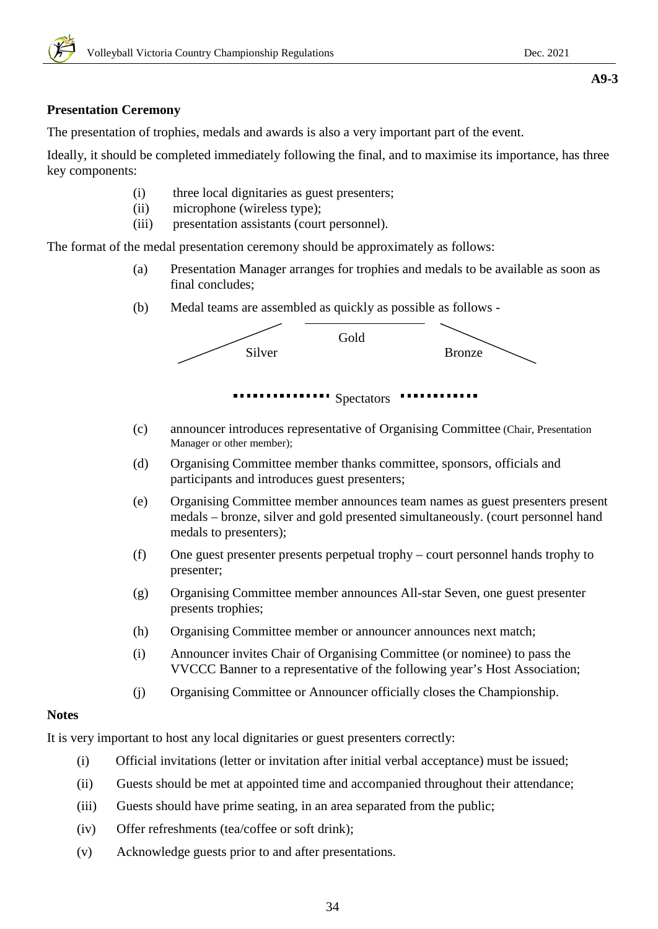# **Presentation Ceremony**

The presentation of trophies, medals and awards is also a very important part of the event.

Ideally, it should be completed immediately following the final, and to maximise its importance, has three key components:

- (i) three local dignitaries as guest presenters;
- (ii) microphone (wireless type);
- (iii) presentation assistants (court personnel).

The format of the medal presentation ceremony should be approximately as follows:

- (a) Presentation Manager arranges for trophies and medals to be available as soon as final concludes;
- (b) Medal teams are assembled as quickly as possible as follows -



Spectators

- (c) announcer introduces representative of Organising Committee (Chair, Presentation Manager or other member);
- (d) Organising Committee member thanks committee, sponsors, officials and participants and introduces guest presenters;
- (e) Organising Committee member announces team names as guest presenters present medals – bronze, silver and gold presented simultaneously. (court personnel hand medals to presenters);
- (f) One guest presenter presents perpetual trophy court personnel hands trophy to presenter;
- (g) Organising Committee member announces All-star Seven, one guest presenter presents trophies;
- (h) Organising Committee member or announcer announces next match;
- (i) Announcer invites Chair of Organising Committee (or nominee) to pass the VVCCC Banner to a representative of the following year's Host Association;
- (j) Organising Committee or Announcer officially closes the Championship.

# **Notes**

It is very important to host any local dignitaries or guest presenters correctly:

- (i) Official invitations (letter or invitation after initial verbal acceptance) must be issued;
- (ii) Guests should be met at appointed time and accompanied throughout their attendance;
- (iii) Guests should have prime seating, in an area separated from the public;
- (iv) Offer refreshments (tea/coffee or soft drink);
- (v) Acknowledge guests prior to and after presentations.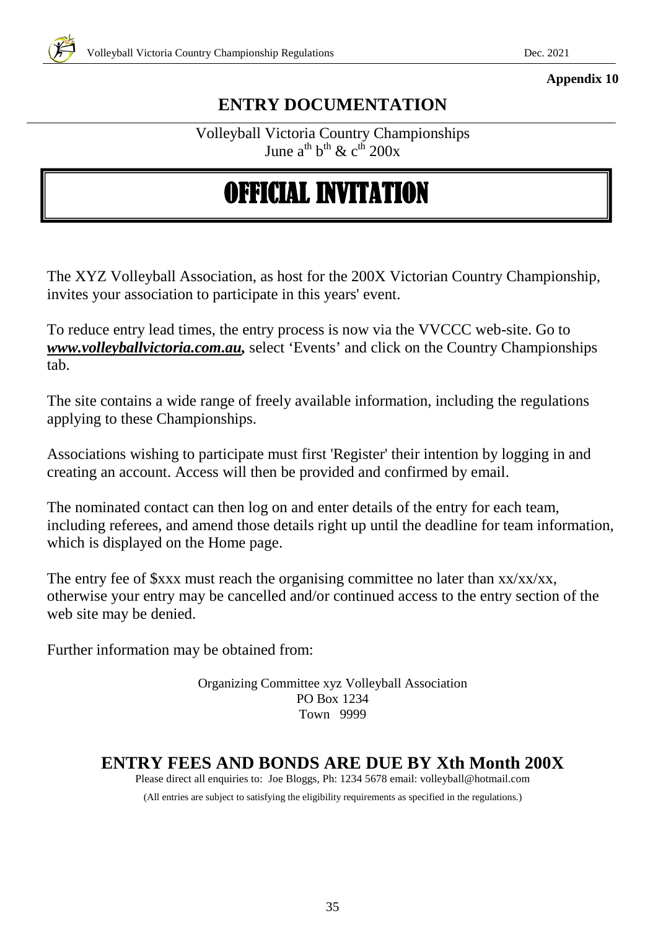# **ENTRY DOCUMENTATION**

Volleyball Victoria Country Championships June  $a^{th} b^{th} \& c^{th} 200x$ 

# OFFICIAL INVITATION

The XYZ Volleyball Association, as host for the 200X Victorian Country Championship, invites your association to participate in this years' event.

To reduce entry lead times, the entry process is now via the VVCCC web-site. Go to *[www.volleyballvictoria.com.au,](http://www.volleyballvictoria.com.au/)* select 'Events' and click on the Country Championships tab.

The site contains a wide range of freely available information, including the regulations applying to these Championships.

Associations wishing to participate must first 'Register' their intention by logging in and creating an account. Access will then be provided and confirmed by email.

The nominated contact can then log on and enter details of the entry for each team, including referees, and amend those details right up until the deadline for team information, which is displayed on the Home page.

The entry fee of  $xxx$  must reach the organising committee no later than xx/xx/xx, otherwise your entry may be cancelled and/or continued access to the entry section of the web site may be denied.

Further information may be obtained from:

Organizing Committee xyz Volleyball Association PO Box 1234 Town 9999

# **ENTRY FEES AND BONDS ARE DUE BY Xth Month 200X**

Please direct all enquiries to: Joe Bloggs, Ph: 1234 5678 email: volleyball@hotmail.com

(All entries are subject to satisfying the eligibility requirements as specified in the regulations.)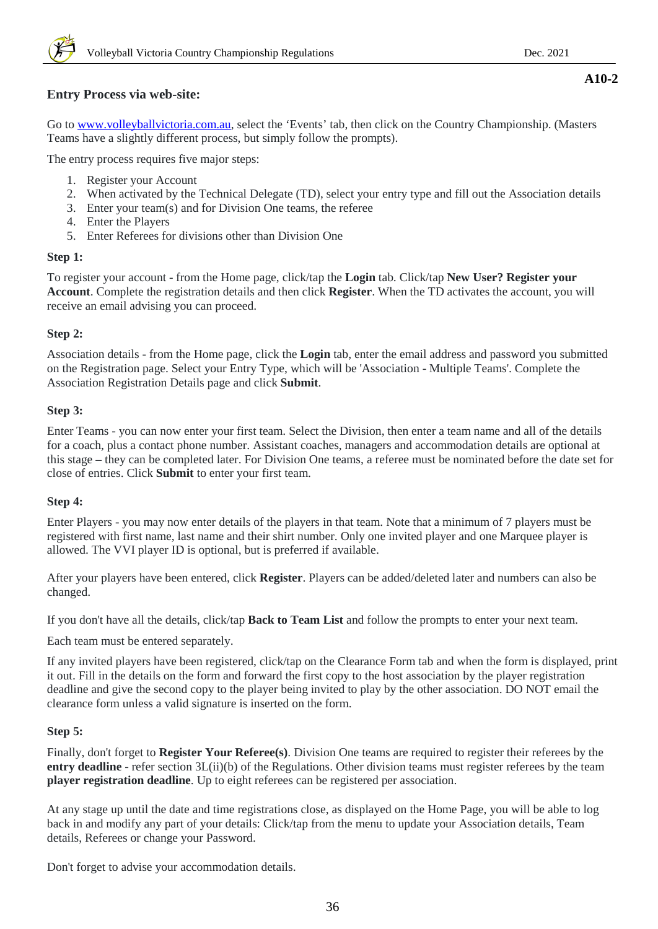# **Entry Process via web-site:**

Go to [www.volleyballvictoria.com.au,](http://www.volleyballvictoria.com.au/) select the 'Events' tab, then click on the Country Championship. (Masters Teams have a slightly different process, but simply follow the prompts).

The entry process requires five major steps:

- 1. Register your Account
- 2. When activated by the Technical Delegate (TD), select your entry type and fill out the Association details
- 3. Enter your team(s) and for Division One teams, the referee
- 4. Enter the Players
- 5. Enter Referees for divisions other than Division One

### **Step 1:**

To register your account - from the Home page, click/tap the **Login** tab. Click/tap **New User? Register your Account**. Complete the registration details and then click **Register**. When the TD activates the account, you will receive an email advising you can proceed.

# **Step 2:**

Association details - from the Home page, click the **Login** tab, enter the email address and password you submitted on the Registration page. Select your Entry Type, which will be 'Association - Multiple Teams'. Complete the Association Registration Details page and click **Submit**.

# **Step 3:**

Enter Teams - you can now enter your first team. Select the Division, then enter a team name and all of the details for a coach, plus a contact phone number. Assistant coaches, managers and accommodation details are optional at this stage – they can be completed later. For Division One teams, a referee must be nominated before the date set for close of entries. Click **Submit** to enter your first team.

# **Step 4:**

Enter Players - you may now enter details of the players in that team. Note that a minimum of 7 players must be registered with first name, last name and their shirt number. Only one invited player and one Marquee player is allowed. The VVI player ID is optional, but is preferred if available.

After your players have been entered, click **Register**. Players can be added/deleted later and numbers can also be changed.

If you don't have all the details, click/tap **Back to Team List** and follow the prompts to enter your next team.

Each team must be entered separately.

If any invited players have been registered, click/tap on the Clearance Form tab and when the form is displayed, print it out. Fill in the details on the form and forward the first copy to the host association by the player registration deadline and give the second copy to the player being invited to play by the other association. DO NOT email the clearance form unless a valid signature is inserted on the form.

# **Step 5:**

Finally, don't forget to **Register Your Referee(s)**. Division One teams are required to register their referees by the **entry deadline** - refer section 3L(ii)(b) of the Regulations. Other division teams must register referees by the team **player registration deadline**. Up to eight referees can be registered per association.

At any stage up until the date and time registrations close, as displayed on the Home Page, you will be able to log back in and modify any part of your details: Click/tap from the menu to update your Association details, Team details, Referees or change your Password.

Don't forget to advise your accommodation details.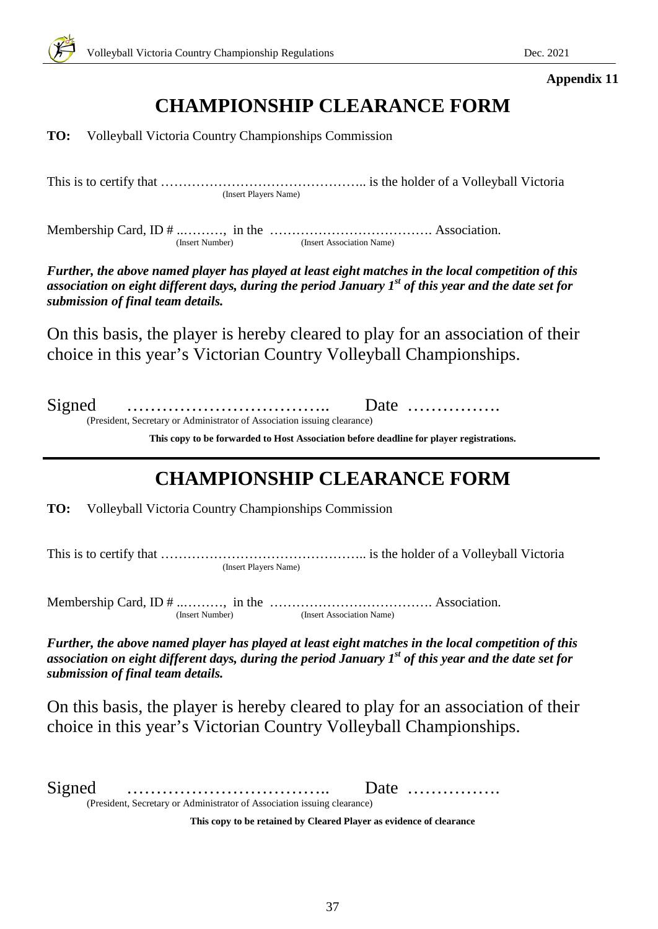# **CHAMPIONSHIP CLEARANCE FORM**

**TO:** Volleyball Victoria Country Championships Commission

This is to certify that ……………………………………….. is the holder of a Volleyball Victoria (Insert Players Name)

Membership Card, ID # ..………, in the ………………………………. Association. (Insert Number) (Insert Association Name)

*Further, the above named player has played at least eight matches in the local competition of this association on eight different days, during the period January 1st of this year and the date set for submission of final team details.*

On this basis, the player is hereby cleared to play for an association of their choice in this year's Victorian Country Volleyball Championships.

Signed …………………………….. Date ……………. (President, Secretary or Administrator of Association issuing clearance)

**This copy to be forwarded to Host Association before deadline for player registrations.**

# **CHAMPIONSHIP CLEARANCE FORM**

**TO:** Volleyball Victoria Country Championships Commission

This is to certify that ……………………………………….. is the holder of a Volleyball Victoria (Insert Players Name)

Membership Card, ID # ..………, in the ………………………………. Association. (Insert Number) (Insert Association Name)

*Further, the above named player has played at least eight matches in the local competition of this association on eight different days, during the period January 1st of this year and the date set for submission of final team details.*

On this basis, the player is hereby cleared to play for an association of their choice in this year's Victorian Country Volleyball Championships.

Signed …………………………….. Date ……………. (President, Secretary or Administrator of Association issuing clearance)

**This copy to be retained by Cleared Player as evidence of clearance**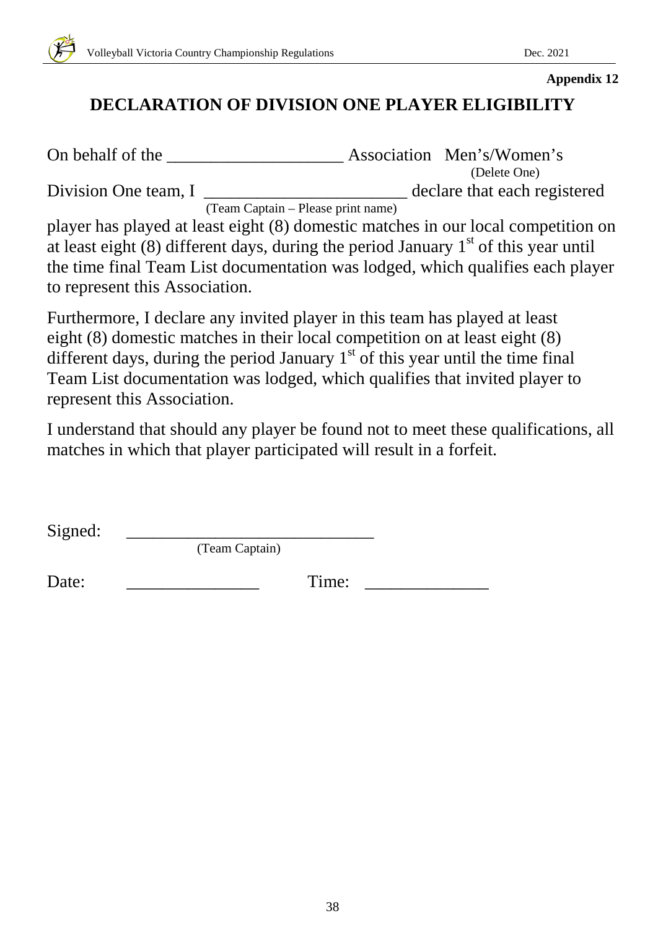# **DECLARATION OF DIVISION ONE PLAYER ELIGIBILITY**

On behalf of the \_\_\_\_\_\_\_\_\_\_\_\_\_\_\_\_\_\_\_\_ Association Men's/Women's (Delete One) Division One team, I \_\_\_\_\_\_\_\_\_\_\_\_\_\_\_\_\_\_\_\_\_\_\_\_\_\_ declare that each registered (Team Captain – Please print name)

player has played at least eight (8) domestic matches in our local competition on at least eight  $(8)$  different days, during the period January  $1<sup>st</sup>$  of this year until the time final Team List documentation was lodged, which qualifies each player to represent this Association.

Furthermore, I declare any invited player in this team has played at least eight (8) domestic matches in their local competition on at least eight (8) different days, during the period January  $1<sup>st</sup>$  of this year until the time final Team List documentation was lodged, which qualifies that invited player to represent this Association.

I understand that should any player be found not to meet these qualifications, all matches in which that player participated will result in a forfeit.

Signed: \_\_\_\_\_\_\_\_\_\_\_\_\_\_\_\_\_\_\_\_\_\_\_\_\_\_\_\_ (Team Captain)

Date: \_\_\_\_\_\_\_\_\_\_\_\_\_\_\_ Time: \_\_\_\_\_\_\_\_\_\_\_\_\_\_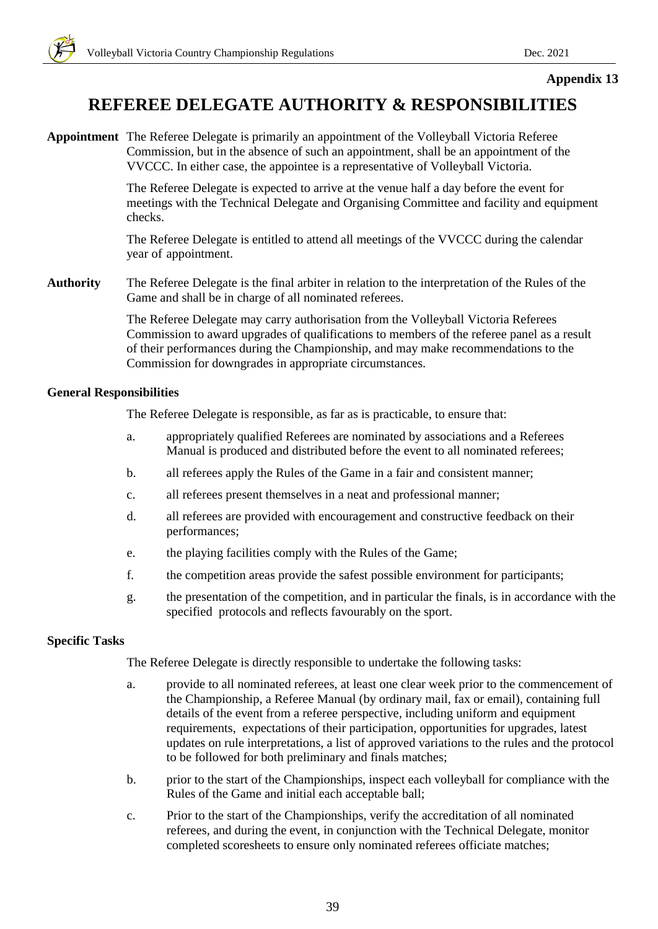# **REFEREE DELEGATE AUTHORITY & RESPONSIBILITIES**

**Appointment** The Referee Delegate is primarily an appointment of the Volleyball Victoria Referee Commission, but in the absence of such an appointment, shall be an appointment of the VVCCC. In either case, the appointee is a representative of Volleyball Victoria.

> The Referee Delegate is expected to arrive at the venue half a day before the event for meetings with the Technical Delegate and Organising Committee and facility and equipment checks.

The Referee Delegate is entitled to attend all meetings of the VVCCC during the calendar year of appointment.

**Authority** The Referee Delegate is the final arbiter in relation to the interpretation of the Rules of the Game and shall be in charge of all nominated referees.

> The Referee Delegate may carry authorisation from the Volleyball Victoria Referees Commission to award upgrades of qualifications to members of the referee panel as a result of their performances during the Championship, and may make recommendations to the Commission for downgrades in appropriate circumstances.

### **General Responsibilities**

The Referee Delegate is responsible, as far as is practicable, to ensure that:

- a. appropriately qualified Referees are nominated by associations and a Referees Manual is produced and distributed before the event to all nominated referees;
- b. all referees apply the Rules of the Game in a fair and consistent manner;
- c. all referees present themselves in a neat and professional manner;
- d. all referees are provided with encouragement and constructive feedback on their performances;
- e. the playing facilities comply with the Rules of the Game;
- f. the competition areas provide the safest possible environment for participants;
- g. the presentation of the competition, and in particular the finals, is in accordance with the specified protocols and reflects favourably on the sport.

### **Specific Tasks**

The Referee Delegate is directly responsible to undertake the following tasks:

- a. provide to all nominated referees, at least one clear week prior to the commencement of the Championship, a Referee Manual (by ordinary mail, fax or email), containing full details of the event from a referee perspective, including uniform and equipment requirements, expectations of their participation, opportunities for upgrades, latest updates on rule interpretations, a list of approved variations to the rules and the protocol to be followed for both preliminary and finals matches;
- b. prior to the start of the Championships, inspect each volleyball for compliance with the Rules of the Game and initial each acceptable ball;
- c. Prior to the start of the Championships, verify the accreditation of all nominated referees, and during the event, in conjunction with the Technical Delegate, monitor completed scoresheets to ensure only nominated referees officiate matches;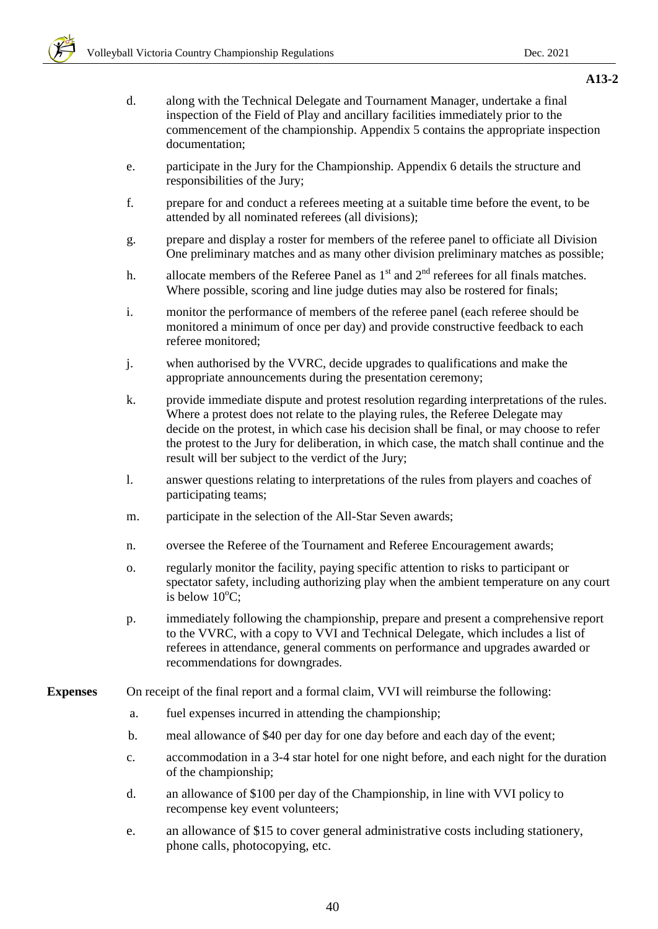- d. along with the Technical Delegate and Tournament Manager, undertake a final inspection of the Field of Play and ancillary facilities immediately prior to the commencement of the championship. Appendix 5 contains the appropriate inspection documentation;
- e. participate in the Jury for the Championship. Appendix 6 details the structure and responsibilities of the Jury;
- f. prepare for and conduct a referees meeting at a suitable time before the event, to be attended by all nominated referees (all divisions);
- g. prepare and display a roster for members of the referee panel to officiate all Division One preliminary matches and as many other division preliminary matches as possible;
- h. allocate members of the Referee Panel as  $1<sup>st</sup>$  and  $2<sup>nd</sup>$  referees for all finals matches. Where possible, scoring and line judge duties may also be rostered for finals;
- i. monitor the performance of members of the referee panel (each referee should be monitored a minimum of once per day) and provide constructive feedback to each referee monitored;
- j. when authorised by the VVRC, decide upgrades to qualifications and make the appropriate announcements during the presentation ceremony;
- k. provide immediate dispute and protest resolution regarding interpretations of the rules. Where a protest does not relate to the playing rules, the Referee Delegate may decide on the protest, in which case his decision shall be final, or may choose to refer the protest to the Jury for deliberation, in which case, the match shall continue and the result will ber subject to the verdict of the Jury;
- l. answer questions relating to interpretations of the rules from players and coaches of participating teams;
- m. participate in the selection of the All-Star Seven awards;
- n. oversee the Referee of the Tournament and Referee Encouragement awards;
- o. regularly monitor the facility, paying specific attention to risks to participant or spectator safety, including authorizing play when the ambient temperature on any court is below  $10^{\circ}$ C;
- p. immediately following the championship, prepare and present a comprehensive report to the VVRC, with a copy to VVI and Technical Delegate, which includes a list of referees in attendance, general comments on performance and upgrades awarded or recommendations for downgrades.

### **Expenses** On receipt of the final report and a formal claim, VVI will reimburse the following:

- a. fuel expenses incurred in attending the championship;
- b. meal allowance of \$40 per day for one day before and each day of the event;
- c. accommodation in a 3-4 star hotel for one night before, and each night for the duration of the championship;
- d. an allowance of \$100 per day of the Championship, in line with VVI policy to recompense key event volunteers;
- e. an allowance of \$15 to cover general administrative costs including stationery, phone calls, photocopying, etc.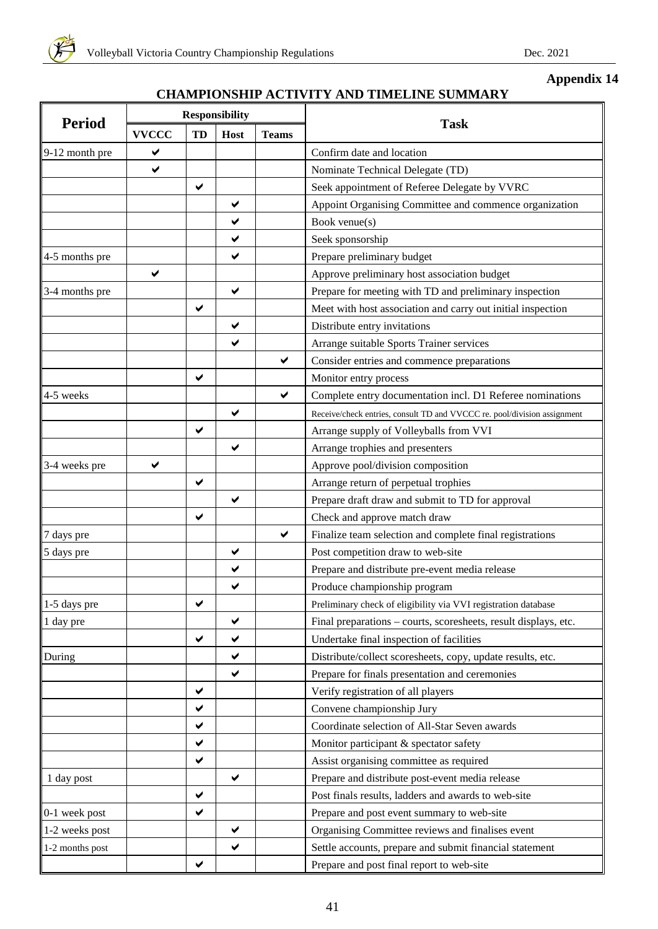# **CHAMPIONSHIP ACTIVITY AND TIMELINE SUMMARY**

| <b>Period</b>   | <b>Responsibility</b> |              |                             |   |                                                                          |  |
|-----------------|-----------------------|--------------|-----------------------------|---|--------------------------------------------------------------------------|--|
|                 | <b>VVCCC</b><br>TD    |              | <b>Host</b><br><b>Teams</b> |   | <b>Task</b>                                                              |  |
| 9-12 month pre  | ✔                     |              |                             |   | Confirm date and location                                                |  |
|                 | ✔                     |              |                             |   | Nominate Technical Delegate (TD)                                         |  |
|                 |                       | $\checkmark$ |                             |   | Seek appointment of Referee Delegate by VVRC                             |  |
|                 |                       |              | ✔                           |   | Appoint Organising Committee and commence organization                   |  |
|                 |                       |              | ✔                           |   | Book venue(s)                                                            |  |
|                 |                       |              | ✔                           |   | Seek sponsorship                                                         |  |
| 4-5 months pre  |                       |              | ✔                           |   | Prepare preliminary budget                                               |  |
|                 | ✔                     |              |                             |   | Approve preliminary host association budget                              |  |
| 3-4 months pre  |                       |              | $\checkmark$                |   | Prepare for meeting with TD and preliminary inspection                   |  |
|                 |                       | ✔            |                             |   | Meet with host association and carry out initial inspection              |  |
|                 |                       |              | ✔                           |   | Distribute entry invitations                                             |  |
|                 |                       |              | ✔                           |   | Arrange suitable Sports Trainer services                                 |  |
|                 |                       |              |                             | ✔ | Consider entries and commence preparations                               |  |
|                 |                       | ✔            |                             |   | Monitor entry process                                                    |  |
| 4-5 weeks       |                       |              |                             | ✔ | Complete entry documentation incl. D1 Referee nominations                |  |
|                 |                       |              | ✔                           |   | Receive/check entries, consult TD and VVCCC re. pool/division assignment |  |
|                 |                       | $\checkmark$ |                             |   | Arrange supply of Volleyballs from VVI                                   |  |
|                 |                       |              | ✔                           |   | Arrange trophies and presenters                                          |  |
| 3-4 weeks pre   | ✔                     |              |                             |   | Approve pool/division composition                                        |  |
|                 |                       | $\checkmark$ |                             |   | Arrange return of perpetual trophies                                     |  |
|                 |                       |              | $\checkmark$                |   | Prepare draft draw and submit to TD for approval                         |  |
|                 |                       | ✔            |                             |   | Check and approve match draw                                             |  |
| 7 days pre      |                       |              |                             | ✔ | Finalize team selection and complete final registrations                 |  |
| 5 days pre      |                       |              | ✔                           |   | Post competition draw to web-site                                        |  |
|                 |                       |              | ✔                           |   | Prepare and distribute pre-event media release                           |  |
|                 |                       |              | ✔                           |   | Produce championship program                                             |  |
| 1-5 days pre    |                       | ✔            |                             |   | Preliminary check of eligibility via VVI registration database           |  |
| 1 day pre       |                       |              | ✔                           |   | Final preparations – courts, scoresheets, result displays, etc.          |  |
|                 |                       | $\checkmark$ | ✔                           |   | Undertake final inspection of facilities                                 |  |
| During          |                       |              | ✔                           |   | Distribute/collect scoresheets, copy, update results, etc.               |  |
|                 |                       |              | ✔                           |   | Prepare for finals presentation and ceremonies                           |  |
|                 |                       | ✔            |                             |   | Verify registration of all players                                       |  |
|                 |                       | ✔            |                             |   | Convene championship Jury                                                |  |
|                 |                       | ✔            |                             |   | Coordinate selection of All-Star Seven awards                            |  |
|                 |                       | ✔            |                             |   | Monitor participant & spectator safety                                   |  |
|                 |                       | $\checkmark$ |                             |   | Assist organising committee as required                                  |  |
| 1 day post      |                       |              | $\checkmark$                |   | Prepare and distribute post-event media release                          |  |
|                 |                       | ✔            |                             |   | Post finals results, ladders and awards to web-site                      |  |
| 0-1 week post   |                       | ✔            |                             |   | Prepare and post event summary to web-site                               |  |
| 1-2 weeks post  |                       |              | ✔                           |   | Organising Committee reviews and finalises event                         |  |
| 1-2 months post |                       |              | $\checkmark$                |   | Settle accounts, prepare and submit financial statement                  |  |
|                 |                       | ✔            |                             |   | Prepare and post final report to web-site                                |  |